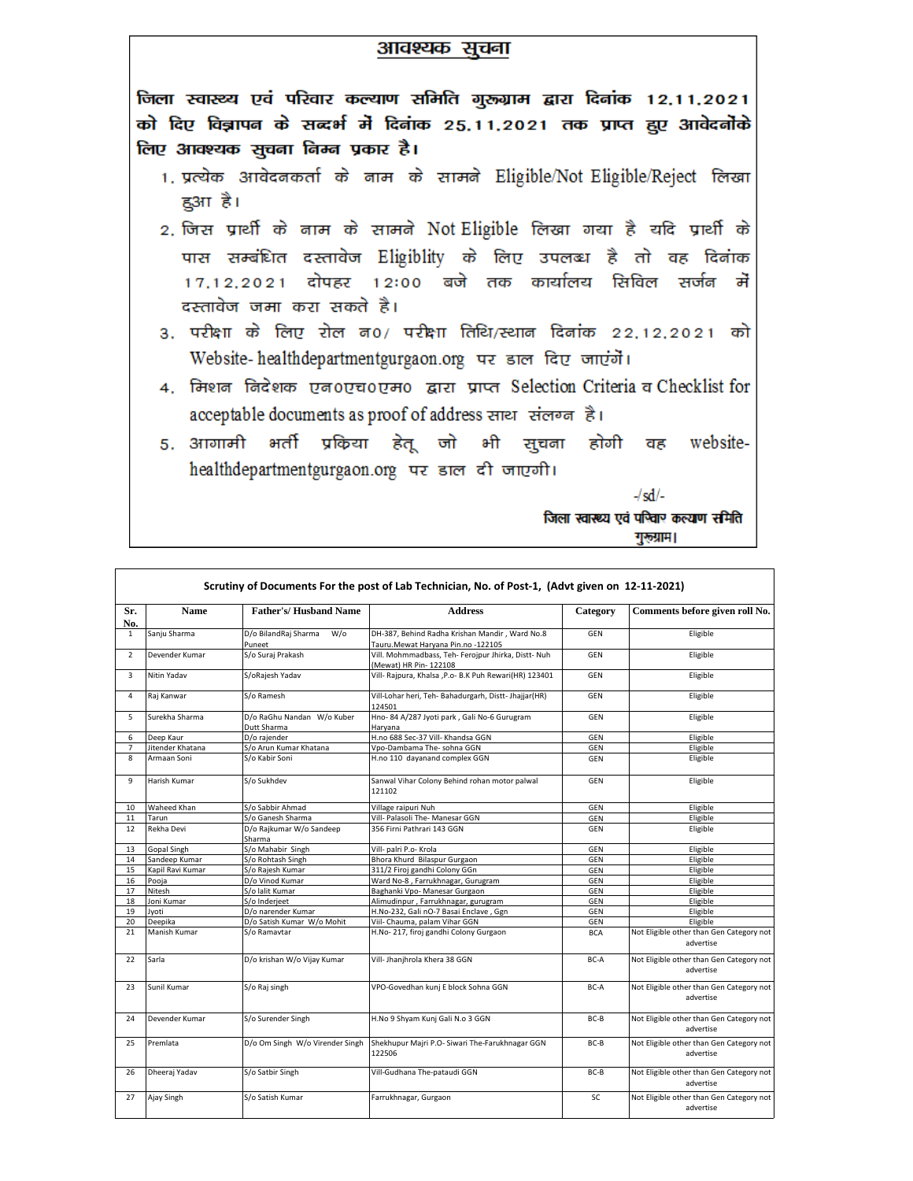## आवश्यक सूचना

जिला स्वास्थ्य एवं परिवार कल्याण समिति गुरूग्राम द्वारा दिनांक 12,11,2021 को दिए विज्ञापन के सन्दर्भ में दिनांक 25.11.2021 तक प्राप्त हुए आवेदनोंके लिए आवश्यक सूचना निम्न प्रकार है।

- 1. प्रत्येक आवेदनकर्ता के नाम के सामने Eligible/Not Eligible/Reject लिखा ह3ग है।
- 2. जिस प्रार्थी के नाम के सामने Not Eligible लिखा गया है यदि प्रार्थी के पास सम्बंधित दस्तावेज Eligiblity के लिए उपलब्ध है तो वह दिनांक 17,12,2021 दोपहर 12:00 बजे तक कार्यालय सिविल सर्जन में दस्तावेज जमा करा सकते है।
- 3. परीक्षा के लिए रोल न0/ परीक्षा तिथि/स्थान दिनांक 22,12,2021 को Website-healthdepartmentgurgaon.org पर डाल दिए जाएंगें।
- 4. मिशन निदेशक एन0एच0एम0 द्वारा प्राप्त Selection Criteria व Checklist for acceptable documents as proof of address साथ संलग्न है।
- 5. आगामी भर्ती प्रकिया हेतू जो भी सूचना होगी website-वह healthdepartmentgurgaon.org पर डाल दी जाएगी।

 $-\frac{1}{s}$ 

जिला स्वास्थ्य एवं पश्विार कल्याण समिति गुरूग्राम।

|                | Scrutiny of Documents For the post of Lab Technician, No. of Post-1, (Advt given on 12-11-2021) |                                                 |                                                                                      |            |                                                       |  |  |
|----------------|-------------------------------------------------------------------------------------------------|-------------------------------------------------|--------------------------------------------------------------------------------------|------------|-------------------------------------------------------|--|--|
| Sr.<br>No.     | <b>Name</b>                                                                                     | <b>Father's/Husband Name</b>                    | <b>Address</b>                                                                       | Category   | Comments before given roll No.                        |  |  |
| $\mathbf{1}$   | Sanju Sharma                                                                                    | $W$ / $\circ$<br>D/o BilandRaj Sharma<br>Puneet | DH-387, Behind Radha Krishan Mandir, Ward No.8<br>Tauru.Mewat Haryana Pin.no -122105 | <b>GEN</b> | Eligible                                              |  |  |
| $\overline{2}$ | Devender Kumar                                                                                  | S/o Suraj Prakash                               | Vill. Mohmmadbass, Teh- Ferojpur Jhirka, Distt- Nuh<br>(Mewat) HR Pin- 122108        | <b>GEN</b> | Eligible                                              |  |  |
| $\overline{3}$ | Nitin Yadav                                                                                     | S/oRajesh Yadav                                 | Vill- Rajpura, Khalsa , P.o- B.K Puh Rewari(HR) 123401                               | <b>GEN</b> | Eligible                                              |  |  |
| $\overline{4}$ | Rai Kanwar                                                                                      | S/o Ramesh                                      | Vill-Lohar heri, Teh- Bahadurgarh, Distt- Jhajjar(HR)<br>124501                      | <b>GEN</b> | Eligible                                              |  |  |
| 5              | Surekha Sharma                                                                                  | D/o RaGhu Nandan W/o Kuber<br>Dutt Sharma       | Hno-84 A/287 Jyoti park, Gali No-6 Gurugram<br>Harvana                               | GEN        | Eligible                                              |  |  |
| 6              | Deep Kaur                                                                                       | D/o raiender                                    | H.no 688 Sec-37 Vill- Khandsa GGN                                                    | GEN        | Eligible                                              |  |  |
| $\overline{7}$ | Jitender Khatana                                                                                | S/o Arun Kumar Khatana                          | Vpo-Dambama The- sohna GGN                                                           | GEN        | Eligible                                              |  |  |
| 8              | Armaan Soni                                                                                     | S/o Kabir Soni                                  | H.no 110 dayanand complex GGN                                                        | GEN        | Eligible                                              |  |  |
| 9              | Harish Kumar                                                                                    | S/o Sukhdev                                     | Sanwal Vihar Colony Behind rohan motor palwal<br>121102                              | GEN        | Eligible                                              |  |  |
| 10             | <b>Waheed Khan</b>                                                                              | S/o Sabbir Ahmad                                | Village raipuri Nuh                                                                  | <b>GEN</b> | Eligible                                              |  |  |
| 11             | Tarun                                                                                           | S/o Ganesh Sharma                               | Vill- Palasoli The- Manesar GGN                                                      | GEN        | Eligible                                              |  |  |
| 12             | Rekha Devi                                                                                      | D/o Rajkumar W/o Sandeep<br>Sharma              | 356 Firni Pathrari 143 GGN                                                           | GEN        | Eligible                                              |  |  |
| 13             | <b>Gopal Singh</b>                                                                              | S/o Mahabir Singh                               | Vill- palri P.o- Krola                                                               | GEN        | Eligible                                              |  |  |
| 14             | Sandeep Kumar                                                                                   | S/o Rohtash Singh                               | Bhora Khurd Bilaspur Gurgaon                                                         | GEN        | Eligible                                              |  |  |
| 15             | Kapil Ravi Kumar                                                                                | S/o Rajesh Kumar                                | 311/2 Firoj gandhi Colony GGn                                                        | GEN        | Eligible                                              |  |  |
| 16             | Pooja                                                                                           | D/o Vinod Kumar                                 | Ward No-8, Farrukhnagar, Gurugram                                                    | GEN        | Eligible                                              |  |  |
| 17             | Nitesh                                                                                          | S/o lalit Kumar                                 | Baghanki Vpo- Manesar Gurgaon                                                        | GEN        | Eligible                                              |  |  |
| 18             | Joni Kumar                                                                                      | S/o Inderieet                                   | Alimudinpur, Farrukhnagar, gurugram                                                  | GEN        | Eligible                                              |  |  |
| 19             | Jyoti                                                                                           | D/o narender Kumar                              | H.No-232, Gali nO-7 Basai Enclave, Ggn                                               | GEN        | Eligible                                              |  |  |
| 20             | Deepika                                                                                         | D/o Satish Kumar W/o Mohit                      | Viil- Chauma, palam Vihar GGN                                                        | GEN        | Eligible                                              |  |  |
| 21             | Manish Kumar                                                                                    | S/o Ramavtar                                    | H.No- 217, firoj gandhi Colony Gurgaon                                               | <b>BCA</b> | Not Eligible other than Gen Category not<br>advertise |  |  |
| 22             | Sarla                                                                                           | D/o krishan W/o Vijay Kumar                     | Vill- Jhanjhrola Khera 38 GGN                                                        | BC-A       | Not Eligible other than Gen Category not<br>advertise |  |  |
| 23             | Sunil Kumar                                                                                     | S/o Raj singh                                   | VPO-Govedhan kunj E block Sohna GGN                                                  | BC-A       | Not Eligible other than Gen Category not<br>advertise |  |  |
| 24             | Devender Kumar                                                                                  | S/o Surender Singh                              | H.No 9 Shyam Kunj Gali N.o 3 GGN                                                     | BC-B       | Not Eligible other than Gen Category not<br>advertise |  |  |
| 25             | Premlata                                                                                        | D/o Om Singh W/o Virender Singh                 | Shekhupur Majri P.O- Siwari The-Farukhnagar GGN<br>122506                            | BC-B       | Not Eligible other than Gen Category not<br>advertise |  |  |
| 26             | Dheeraj Yadav                                                                                   | S/o Satbir Singh                                | Vill-Gudhana The-pataudi GGN                                                         | BC-B       | Not Eligible other than Gen Category not<br>advertise |  |  |
| 27             | Ajay Singh                                                                                      | S/o Satish Kumar                                | Farrukhnagar, Gurgaon                                                                | SC         | Not Eligible other than Gen Category not<br>advertise |  |  |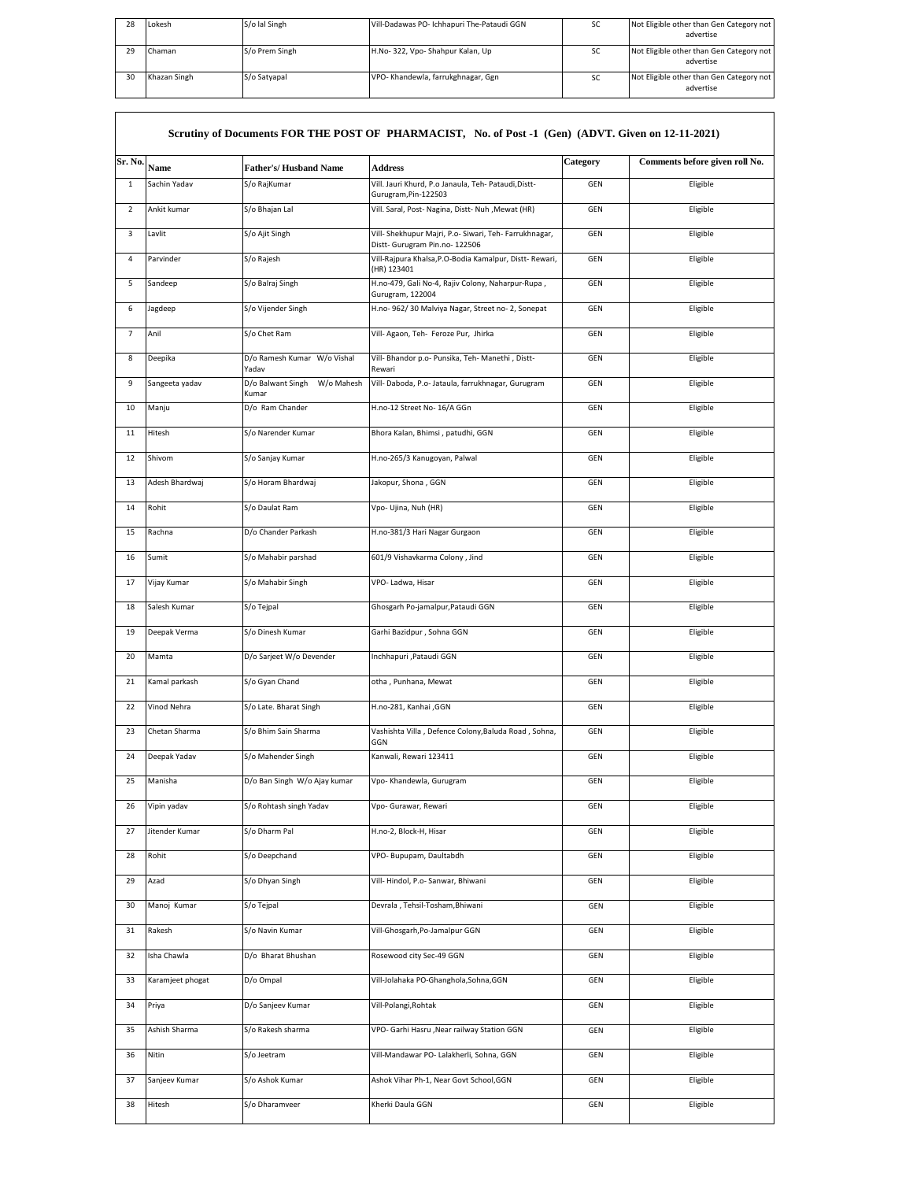| 28 | Lokesh       | S/o lal Singh  | Vill-Dadawas PO- Ichhapuri The-Pataudi GGN | <b>SC</b> | Not Eligible other than Gen Category not<br>advertise |
|----|--------------|----------------|--------------------------------------------|-----------|-------------------------------------------------------|
| 29 | Chaman       | S/o Prem Singh | H.No-322, Vpo-Shahpur Kalan, Up            | <b>SC</b> | Not Eligible other than Gen Category not<br>advertise |
| 30 | Khazan Singh | S/o Satyapal   | VPO- Khandewla, farrukghnagar, Ggn         | <b>SC</b> | Not Eligible other than Gen Category not<br>advertise |

|                | Scrutiny of Documents FOR THE POST OF PHARMACIST, No. of Post -1 (Gen) (ADVT. Given on 12-11-2021) |                                          |                                                                                          |            |                                |  |  |
|----------------|----------------------------------------------------------------------------------------------------|------------------------------------------|------------------------------------------------------------------------------------------|------------|--------------------------------|--|--|
| Sr. No.        | Name                                                                                               | <b>Father's/Husband Name</b>             | <b>Address</b>                                                                           | Category   | Comments before given roll No. |  |  |
| $\mathbf{1}$   | Sachin Yadav                                                                                       | S/o RajKumar                             | Vill. Jauri Khurd, P.o Janaula, Teh- Pataudi, Distt-                                     | GEN        | Eligible                       |  |  |
| $\overline{2}$ | Ankit kumar                                                                                        | S/o Bhajan Lal                           | Gurugram, Pin-122503<br>Vill. Saral, Post- Nagina, Distt- Nuh , Mewat (HR)               | <b>GEN</b> | Eligible                       |  |  |
| 3              | Lavlit                                                                                             | S/o Ajit Singh                           | Vill- Shekhupur Majri, P.o- Siwari, Teh- Farrukhnagar,<br>Distt- Gurugram Pin.no- 122506 | GEN        | Eligible                       |  |  |
| 4              | Parvinder                                                                                          | S/o Rajesh                               | Vill-Rajpura Khalsa, P.O-Bodia Kamalpur, Distt- Rewari,<br>(HR) 123401                   | GEN        | Eligible                       |  |  |
| 5              | Sandeep                                                                                            | S/o Balraj Singh                         | H.no-479, Gali No-4, Rajiv Colony, Naharpur-Rupa,<br>Gurugram, 122004                    | GEN        | Eligible                       |  |  |
| 6              | Jagdeep                                                                                            | S/o Vijender Singh                       | H.no- 962/30 Malviya Nagar, Street no- 2, Sonepat                                        | GEN        | Eligible                       |  |  |
| $\overline{7}$ | Anil                                                                                               | S/o Chet Ram                             | Vill- Agaon, Teh- Feroze Pur, Jhirka                                                     | GEN        | Eligible                       |  |  |
| 8              | Deepika                                                                                            | D/o Ramesh Kumar W/o Vishal<br>Yadav     | Vill- Bhandor p.o- Punsika, Teh- Manethi, Distt-<br>Rewari                               | <b>GEN</b> | Eligible                       |  |  |
| 9              | Sangeeta yadav                                                                                     | W/o Mahesh<br>D/o Balwant Singh<br>Kumar | Vill- Daboda, P.o- Jataula, farrukhnagar, Gurugram                                       | GEN        | Eligible                       |  |  |
| 10             | Manju                                                                                              | D/o Ram Chander                          | H.no-12 Street No- 16/A GGn                                                              | <b>GEN</b> | Eligible                       |  |  |
| 11             | Hitesh                                                                                             | S/o Narender Kumar                       | Bhora Kalan, Bhimsi, patudhi, GGN                                                        | <b>GEN</b> | Eligible                       |  |  |
| 12             | Shivom                                                                                             | S/o Sanjay Kumar                         | H.no-265/3 Kanugoyan, Palwal                                                             | <b>GEN</b> | Eligible                       |  |  |
| 13             | Adesh Bhardwaj                                                                                     | S/o Horam Bhardwaj                       | Jakopur, Shona, GGN                                                                      | GEN        | Eligible                       |  |  |
| 14             | Rohit                                                                                              | S/o Daulat Ram                           | Vpo- Ujina, Nuh (HR)                                                                     | <b>GEN</b> | Eligible                       |  |  |
| 15             | Rachna                                                                                             | D/o Chander Parkash                      | H.no-381/3 Hari Nagar Gurgaon                                                            | GEN        | Eligible                       |  |  |
| 16             | Sumit                                                                                              | S/o Mahabir parshad                      | 601/9 Vishavkarma Colony, Jind                                                           | GEN        | Eligible                       |  |  |
| 17             | Vijay Kumar                                                                                        | S/o Mahabir Singh                        | VPO-Ladwa, Hisar                                                                         | <b>GEN</b> | Eligible                       |  |  |
| 18             | Salesh Kumar                                                                                       | S/o Tejpal                               | Ghosgarh Po-jamalpur, Pataudi GGN                                                        | <b>GEN</b> | Eligible                       |  |  |
| 19             | Deepak Verma                                                                                       | S/o Dinesh Kumar                         | Garhi Bazidpur, Sohna GGN                                                                | <b>GEN</b> | Eligible                       |  |  |
| 20             | Mamta                                                                                              | D/o Sarjeet W/o Devender                 | Inchhapuri , Pataudi GGN                                                                 | <b>GEN</b> | Eligible                       |  |  |
| 21             | Kamal parkash                                                                                      | S/o Gyan Chand                           | otha, Punhana, Mewat                                                                     | <b>GEN</b> | Eligible                       |  |  |
| 22             | Vinod Nehra                                                                                        | S/o Late. Bharat Singh                   | H.no-281, Kanhai ,GGN                                                                    | GEN        | Eligible                       |  |  |
| 23             | Chetan Sharma                                                                                      | S/o Bhim Sain Sharma                     | Vashishta Villa, Defence Colony, Baluda Road, Sohna,<br>GGN                              | GEN        | Eligible                       |  |  |
| 24             | Deepak Yadav                                                                                       | S/o Mahender Singh                       | Kanwali, Rewari 123411                                                                   | <b>GEN</b> | Eligible                       |  |  |
| 25             | Manisha                                                                                            | D/o Ban Singh W/o Ajay kumar             | Vpo- Khandewla, Gurugram                                                                 | <b>GEN</b> | Eligible                       |  |  |
| 26             | Vipin yadav                                                                                        | S/o Rohtash singh Yadav                  | Vpo- Gurawar, Rewari                                                                     | GEN        | Eligible                       |  |  |
| 27             | Jitender Kumar                                                                                     | S/o Dharm Pal                            | H.no-2, Block-H, Hisar                                                                   | GEN        | Eligible                       |  |  |
| 28             | Rohit                                                                                              | S/o Deepchand                            | VPO- Bupupam, Daultabdh                                                                  | GEN        | Eligible                       |  |  |
| 29             | Azad                                                                                               | S/o Dhyan Singh                          | Vill- Hindol, P.o- Sanwar, Bhiwani                                                       | GEN        | Eligible                       |  |  |
| 30             | Manoj Kumar                                                                                        | S/o Teipal                               | Devrala, Tehsil-Tosham, Bhiwani                                                          | GEN        | Eligible                       |  |  |
| 31             | Rakesh                                                                                             | S/o Navin Kumar                          | Vill-Ghosgarh, Po-Jamalpur GGN                                                           | GEN        | Eligible                       |  |  |
| 32             | Isha Chawla                                                                                        | D/o Bharat Bhushan                       | Rosewood city Sec-49 GGN                                                                 | GEN        | Eligible                       |  |  |
| 33             | Karamjeet phogat                                                                                   | D/o Ompal                                | Vill-Jolahaka PO-Ghanghola,Sohna,GGN                                                     | GEN        | Eligible                       |  |  |
| 34             | Priya                                                                                              | D/o Sanjeev Kumar                        | Vill-Polangi, Rohtak                                                                     | GEN        | Eligible                       |  |  |
| 35             | Ashish Sharma                                                                                      | S/o Rakesh sharma                        | VPO- Garhi Hasru , Near railway Station GGN                                              | GEN        | Eligible                       |  |  |
| 36             | Nitin                                                                                              | S/o Jeetram                              | Vill-Mandawar PO- Lalakherli, Sohna, GGN                                                 | GEN        | Eligible                       |  |  |
| 37             | Sanjeev Kumar                                                                                      | S/o Ashok Kumar                          | Ashok Vihar Ph-1, Near Govt School, GGN                                                  | GEN        | Eligible                       |  |  |
| 38             | Hitesh                                                                                             | S/o Dharamveer                           | Kherki Daula GGN                                                                         | GEN        | Eligible                       |  |  |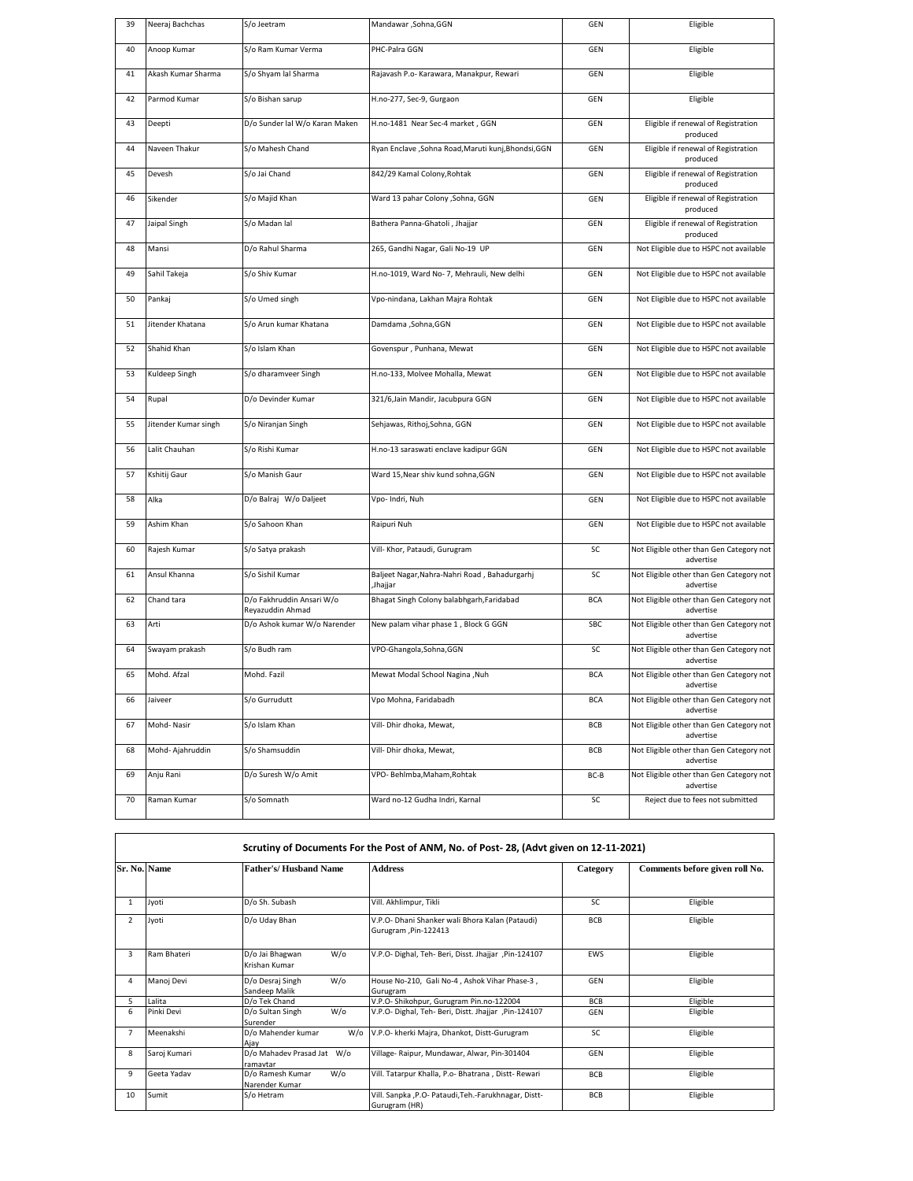| 39 | Neeraj Bachchas      | S/o Jeetram                                   | Mandawar , Sohna, GGN                                      | GEN        | Eligible                                              |
|----|----------------------|-----------------------------------------------|------------------------------------------------------------|------------|-------------------------------------------------------|
| 40 | Anoop Kumar          | S/o Ram Kumar Verma                           | PHC-Palra GGN                                              | <b>GEN</b> | Eligible                                              |
| 41 | Akash Kumar Sharma   | S/o Shyam lal Sharma                          | Rajavash P.o- Karawara, Manakpur, Rewari                   | GEN        | Eligible                                              |
| 42 | Parmod Kumar         | S/o Bishan sarup                              | H.no-277, Sec-9, Gurgaon                                   | <b>GEN</b> | Eligible                                              |
| 43 | Deepti               | D/o Sunder lal W/o Karan Maken                | H.no-1481 Near Sec-4 market, GGN                           | GEN        | Eligible if renewal of Registration<br>produced       |
| 44 | Naveen Thakur        | S/o Mahesh Chand                              | Ryan Enclave , Sohna Road, Maruti kunj, Bhondsi, GGN       | <b>GEN</b> | Eligible if renewal of Registration<br>produced       |
| 45 | Devesh               | S/o Jai Chand                                 | 842/29 Kamal Colony, Rohtak                                | GEN        | Eligible if renewal of Registration<br>produced       |
| 46 | Sikender             | S/o Majid Khan                                | Ward 13 pahar Colony , Sohna, GGN                          | GEN        | Eligible if renewal of Registration<br>produced       |
| 47 | Jaipal Singh         | S/o Madan lal                                 | Bathera Panna-Ghatoli, Jhajjar                             | GEN        | Eligible if renewal of Registration<br>produced       |
| 48 | Mansi                | D/o Rahul Sharma                              | 265, Gandhi Nagar, Gali No-19 UP                           | GEN        | Not Eligible due to HSPC not available                |
| 49 | Sahil Takeja         | S/o Shiv Kumar                                | H.no-1019, Ward No- 7, Mehrauli, New delhi                 | GEN        | Not Eligible due to HSPC not available                |
| 50 | Pankaj               | S/o Umed singh                                | Vpo-nindana, Lakhan Majra Rohtak                           | GEN        | Not Eligible due to HSPC not available                |
| 51 | Jitender Khatana     | S/o Arun kumar Khatana                        | Damdama , Sohna, GGN                                       | GEN        | Not Eligible due to HSPC not available                |
| 52 | Shahid Khan          | S/o Islam Khan                                | Govenspur, Punhana, Mewat                                  | GEN        | Not Eligible due to HSPC not available                |
| 53 | Kuldeep Singh        | S/o dharamveer Singh                          | H.no-133, Molvee Mohalla, Mewat                            | GEN        | Not Eligible due to HSPC not available                |
| 54 | Rupal                | D/o Devinder Kumar                            | 321/6, Jain Mandir, Jacubpura GGN                          | GEN        | Not Eligible due to HSPC not available                |
| 55 | Jitender Kumar singh | S/o Niranjan Singh                            | Sehjawas, Rithoj,Sohna, GGN                                | GEN        | Not Eligible due to HSPC not available                |
| 56 | Lalit Chauhan        | S/o Rishi Kumar                               | H.no-13 saraswati enclave kadipur GGN                      | GEN        | Not Eligible due to HSPC not available                |
| 57 | Kshitij Gaur         | S/o Manish Gaur                               | Ward 15, Near shiv kund sohna, GGN                         | GEN        | Not Eligible due to HSPC not available                |
| 58 | Alka                 | D/o Balraj W/o Daljeet                        | Vpo- Indri, Nuh                                            | GEN        | Not Eligible due to HSPC not available                |
| 59 | Ashim Khan           | S/o Sahoon Khan                               | Raipuri Nuh                                                | <b>GEN</b> | Not Eligible due to HSPC not available                |
| 60 | Rajesh Kumar         | S/o Satya prakash                             | Vill- Khor, Pataudi, Gurugram                              | SC         | Not Eligible other than Gen Category not<br>advertise |
| 61 | Ansul Khanna         | S/o Sishil Kumar                              | Baljeet Nagar, Nahra-Nahri Road, Bahadurgarhj<br>, Jhajjar | SC         | Not Eligible other than Gen Category not<br>advertise |
| 62 | Chand tara           | D/o Fakhruddin Ansari W/o<br>Reyazuddin Ahmad | Bhagat Singh Colony balabhgarh, Faridabad                  | <b>BCA</b> | Not Eligible other than Gen Category not<br>advertise |
| 63 | Arti                 | D/o Ashok kumar W/o Narender                  | New palam vihar phase 1, Block G GGN                       | SBC        | Not Eligible other than Gen Category not<br>advertise |
| 64 | Swayam prakash       | S/o Budh ram                                  | VPO-Ghangola, Sohna, GGN                                   | SC         | Not Eligible other than Gen Category not<br>advertise |
| 65 | Mohd. Afzal          | Mohd. Fazil                                   | Mewat Modal School Nagina , Nuh                            | <b>BCA</b> | Not Eligible other than Gen Category not<br>advertise |
| 66 | Jaiveer              | S/o Gurrudutt                                 | Vpo Mohna, Faridabadh                                      | <b>BCA</b> | Not Eligible other than Gen Category not<br>advertise |
| 67 | Mohd-Nasir           | S/o Islam Khan                                | Vill- Dhir dhoka, Mewat,                                   | BCB        | Not Eligible other than Gen Category not<br>advertise |
| 68 | Mohd-Ajahruddin      | S/o Shamsuddin                                | Vill- Dhir dhoka, Mewat,                                   | BCB        | Not Eligible other than Gen Category not<br>advertise |
| 69 | Anju Rani            | D/o Suresh W/o Amit                           | VPO-Behlmba, Maham, Rohtak                                 | BC-B       | Not Eligible other than Gen Category not<br>advertise |
| 70 | Raman Kumar          | S/o Somnath                                   | Ward no-12 Gudha Indri, Karnal                             | SC         | Reject due to fees not submitted                      |
|    |                      |                                               |                                                            |            |                                                       |

|                | Scrutiny of Documents For the Post of ANM, No. of Post-28, (Advt given on 12-11-2021) |                                              |                                                                         |            |                                |  |  |  |  |
|----------------|---------------------------------------------------------------------------------------|----------------------------------------------|-------------------------------------------------------------------------|------------|--------------------------------|--|--|--|--|
| Sr. No. Name   |                                                                                       | <b>Father's/Husband Name</b>                 | <b>Address</b>                                                          | Category   | Comments before given roll No. |  |  |  |  |
| 1              | Jyoti                                                                                 | D/o Sh. Subash                               | Vill. Akhlimpur, Tikli                                                  | SC.        | Eligible                       |  |  |  |  |
| $\overline{2}$ | Jyoti                                                                                 | D/o Udav Bhan                                | V.P.O- Dhani Shanker wali Bhora Kalan (Pataudi)<br>Gurugram, Pin-122413 | <b>BCB</b> | Eligible                       |  |  |  |  |
| 3              | Ram Bhateri                                                                           | $W$ /o<br>D/o Jai Bhagwan<br>Krishan Kumar   | V.P.O- Dighal, Teh- Beri, Disst. Jhajjar ,Pin-124107                    | <b>FWS</b> | Eligible                       |  |  |  |  |
| $\overline{4}$ | Manoj Devi                                                                            | $W$ /o<br>D/o Desraj Singh<br>Sandeep Malik  | House No-210, Gali No-4, Ashok Vihar Phase-3,<br>Gurugram               | GEN        | Eligible                       |  |  |  |  |
| 5              | Lalita                                                                                | D/o Tek Chand                                | V.P.O-Shikohpur, Gurugram Pin.no-122004                                 | <b>BCB</b> | Eligible                       |  |  |  |  |
| 6              | Pinki Devi                                                                            | $W$ /o<br>D/o Sultan Singh<br>Surender       | V.P.O- Dighal, Teh- Beri, Distt. Jhajjar , Pin-124107                   | GEN        | Eligible                       |  |  |  |  |
| $\overline{7}$ | Meenakshi                                                                             | D/o Mahender kumar<br>$W$ /o<br>Aiav         | V.P.O- kherki Majra, Dhankot, Distt-Gurugram                            | SC.        | Eligible                       |  |  |  |  |
| 8              | Saroj Kumari                                                                          | D/o Mahadev Prasad Jat W/o<br>ramaytar       | Village-Raipur, Mundawar, Alwar, Pin-301404                             | GEN        | Eligible                       |  |  |  |  |
| 9              | Geeta Yadav                                                                           | $W$ /o<br>D/o Ramesh Kumar<br>Narender Kumar | Vill. Tatarpur Khalla, P.o- Bhatrana, Distt- Rewari                     | <b>BCB</b> | Eligible                       |  |  |  |  |
| 10             | Sumit                                                                                 | S/o Hetram                                   | Vill. Sanpka , P.O- Pataudi, Teh.-Farukhnagar, Distt-<br>Gurugram (HR)  | <b>BCB</b> | Eligible                       |  |  |  |  |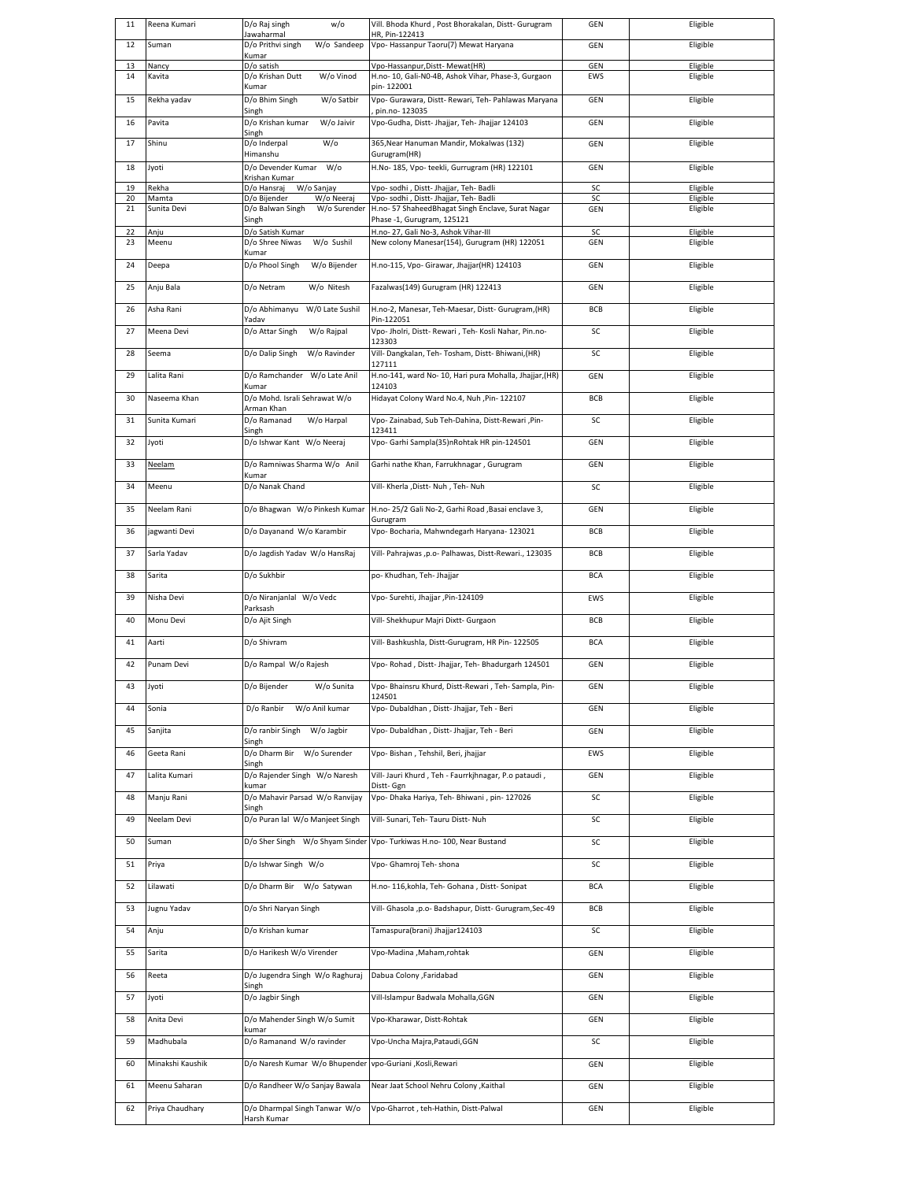| 11       | Reena Kumari         | D/o Raj singh<br>w/o<br>Jawaharmal                             | Vill. Bhoda Khurd, Post Bhorakalan, Distt- Gurugram<br>HR, Pin-122413                       | GEN               | Eligible             |
|----------|----------------------|----------------------------------------------------------------|---------------------------------------------------------------------------------------------|-------------------|----------------------|
| 12       | Suman                | W/o Sandeep<br>D/o Prithvi singh<br>Kumar                      | Vpo- Hassanpur Taoru(7) Mewat Haryana                                                       | <b>GEN</b>        | Eligible             |
| 13<br>14 | Nancy<br>Kavita      | D/o satish<br>W/o Vinod<br>D/o Krishan Dutt                    | Vpo-Hassanpur, Distt-Mewat (HR)<br>H.no- 10, Gali-N0-4B, Ashok Vihar, Phase-3, Gurgaon      | <b>GEN</b><br>EWS | Eligible<br>Eligible |
|          |                      | Kumar                                                          | pin-122001                                                                                  |                   |                      |
| 15       | Rekha yadav          | D/o Bhim Singh<br>W/o Satbir<br>Singh                          | Vpo- Gurawara, Distt- Rewari, Teh- Pahlawas Maryana<br>pin.no-123035                        | GEN               | Eligible             |
| 16       | Pavita               | D/o Krishan kumar<br>W/o Jaivir<br>Singh                       | Vpo-Gudha, Distt- Jhajjar, Teh- Jhajjar 124103                                              | GEN               | Eligible             |
| 17       | Shinu                | $W$ /o<br>D/o Inderpal<br>Himanshu                             | 365, Near Hanuman Mandir, Mokalwas (132)<br>Gurugram(HR)                                    | <b>GEN</b>        | Eligible             |
| 18       | Jyoti                | W/o<br>D/o Devender Kumar                                      | H.No- 185, Vpo- teekli, Gurrugram (HR) 122101                                               | GEN               | Eligible             |
| 19       | Rekha                | Krishan Kumar<br>D/o Hansraj<br>W/o Sanjay                     | Vpo- sodhi, Distt- Jhajjar, Teh- Badli                                                      | SC                | Eligible             |
| 20<br>21 | Mamta<br>Sunita Devi | D/o Bijender<br>W/o Neeraj<br>D/o Balwan Singh<br>W/o Surender | Vpo- sodhi, Distt- Jhajjar, Teh- Badli<br>H.no- 57 ShaheedBhagat Singh Enclave, Surat Nagar | SC<br><b>GEN</b>  | Eligible<br>Eligible |
|          |                      | Singh                                                          | Phase -1, Gurugram, 125121                                                                  |                   |                      |
| 22<br>23 | Anju<br>Meenu        | D/o Satish Kumar<br>W/o Sushil<br>D/o Shree Niwas<br>Kumar     | H.no- 27, Gali No-3, Ashok Vihar-III<br>New colony Manesar(154), Gurugram (HR) 122051       | SC<br><b>GEN</b>  | Eligible<br>Eligible |
| 24       | Deepa                | D/o Phool Singh<br>W/o Bijender                                | H.no-115, Vpo- Girawar, Jhajjar(HR) 124103                                                  | <b>GEN</b>        | Eligible             |
| 25       | Anju Bala            | W/o Nitesh<br>D/o Netram                                       | Fazalwas(149) Gurugram (HR) 122413                                                          | <b>GEN</b>        | Eligible             |
| 26       | Asha Rani            | W/0 Late Sushil<br>D/o Abhimanyu<br>Yadav                      | H.no-2, Manesar, Teh-Maesar, Distt- Gurugram, (HR)<br>Pin-122051                            | BCB               | Eligible             |
| 27       | Meena Devi           | D/o Attar Singh<br>W/o Rajpal                                  | Vpo- Jholri, Distt- Rewari, Teh- Kosli Nahar, Pin.no-                                       | SC                | Eligible             |
| 28       | Seema                | D/o Dalip Singh<br>W/o Ravinder                                | 123303<br>Vill- Dangkalan, Teh- Tosham, Distt- Bhiwani, (HR)                                | SC                | Eligible             |
| 29       | Lalita Rani          | D/o Ramchander W/o Late Anil                                   | 127111<br>H.no-141, ward No-10, Hari pura Mohalla, Jhajjar, (HR)                            | <b>GEN</b>        | Eligible             |
| 30       | Naseema Khan         | Kumar<br>D/o Mohd. Israli Sehrawat W/o                         | 124103<br>Hidayat Colony Ward No.4, Nuh , Pin- 122107                                       | BCB               | Eligible             |
|          |                      | Arman Khan                                                     |                                                                                             |                   |                      |
| 31       | Sunita Kumari        | D/o Ramanad<br>W/o Harpal<br>Singh                             | Vpo-Zainabad, Sub Teh-Dahina, Distt-Rewari, Pin-<br>123411                                  | SC                | Eligible             |
| 32       | Jyoti                | D/o Ishwar Kant W/o Neeraj                                     | Vpo- Garhi Sampla(35)nRohtak HR pin-124501                                                  | <b>GEN</b>        | Eligible             |
| 33       | <b>Neelam</b>        | D/o Ramniwas Sharma W/o Anil<br>Kumar                          | Garhi nathe Khan, Farrukhnagar, Gurugram                                                    | <b>GEN</b>        | Eligible             |
| 34       | Meenu                | D/o Nanak Chand                                                | Vill- Kherla ,Distt- Nuh , Teh- Nuh                                                         | SC                | Eligible             |
| 35       | Neelam Rani          | D/o Bhagwan W/o Pinkesh Kumar                                  | H.no- 25/2 Gali No-2, Garhi Road ,Basai enclave 3,                                          | <b>GEN</b>        | Eligible             |
| 36       | jagwanti Devi        | D/o Dayanand W/o Karambir                                      | Gurugram<br>Vpo- Bocharia, Mahwndegarh Haryana- 123021                                      | BCB               | Eligible             |
| 37       | Sarla Yadav          | D/o Jagdish Yadav W/o HansRaj                                  | Vill- Pahrajwas ,p.o- Palhawas, Distt-Rewari., 123035                                       | BCB               | Eligible             |
| 38       | Sarita               | D/o Sukhbir                                                    | po- Khudhan, Teh- Jhajjar                                                                   | <b>BCA</b>        | Eligible             |
| 39       | Nisha Devi           | D/o Niranjanlal W/o Vedc                                       | Vpo- Surehti, Jhajjar ,Pin-124109                                                           | EWS               | Eligible             |
| 40       | Monu Devi            | Parksash<br>D/o Ajit Singh                                     | Vill- Shekhupur Majri Dixtt- Gurgaon                                                        | BCB               | Eligible             |
| 41       | Aarti                | D/o Shivram                                                    | Vill- Bashkushla, Distt-Gurugram, HR Pin- 122505                                            | <b>BCA</b>        | Eligible             |
| 42       | Punam Devi           | D/o Rampal W/o Rajesh                                          | Vpo-Rohad, Distt-Jhajjar, Teh-Bhadurgarh 124501                                             | GEN               | Eligible             |
| 43       | Jyoti                | D/o Bijender<br>W/o Sunita                                     | Vpo- Bhainsru Khurd, Distt-Rewari, Teh- Sampla, Pin-                                        | GEN               | Eligible             |
| 44       | Sonia                | D/o Ranbir W/o Anil kumar                                      | 124501<br>Vpo- Dubaldhan, Distt- Jhajjar, Teh - Beri                                        | GEN               | Eligible             |
| 45       | Sanjita              | D/o ranbir Singh W/o Jagbir                                    | Vpo- Dubaldhan, Distt- Jhajjar, Teh - Beri                                                  | GEN               | Eligible             |
| 46       | Geeta Rani           | Singh<br>D/o Dharm Bir W/o Surender                            | Vpo- Bishan, Tehshil, Beri, jhajjar                                                         | EWS               | Eligible             |
|          |                      | Singh                                                          |                                                                                             |                   |                      |
| 47       | Lalita Kumari        | D/o Rajender Singh W/o Naresh<br>kumar                         | Vill- Jauri Khurd, Teh - Faurrkjhnagar, P.o pataudi,<br>Distt- Ggn                          | GEN               | Eligible             |
| 48       | Manju Rani           | D/o Mahavir Parsad W/o Ranvijay<br>Singh                       | Vpo- Dhaka Hariya, Teh- Bhiwani, pin-127026                                                 | SC                | Eligible             |
| 49       | Neelam Devi          | D/o Puran lal W/o Manjeet Singh                                | Vill- Sunari, Teh- Tauru Distt- Nuh                                                         | SC                | Eligible             |
| 50       | Suman                | D/o Sher Singh W/o Shyam Sinder                                | Vpo- Turkiwas H.no- 100, Near Bustand                                                       | SC                | Eligible             |
| 51       | Priya                | D/o Ishwar Singh W/o                                           | Vpo- Ghamroj Teh- shona                                                                     | SC                | Eligible             |
| 52       | Lilawati             | D/o Dharm Bir W/o Satywan                                      | H.no- 116, kohla, Teh- Gohana, Distt- Sonipat                                               | <b>BCA</b>        | Eligible             |
| 53       | Jugnu Yadav          | D/o Shri Naryan Singh                                          | Vill- Ghasola ,p.o- Badshapur, Distt- Gurugram,Sec-49                                       | BCB               | Eligible             |
| 54       | Anju                 | D/o Krishan kumar                                              | Tamaspura(brani) Jhajjar124103                                                              | SC                | Eligible             |
| 55       | Sarita               | D/o Harikesh W/o Virender                                      | Vpo-Madina , Maham, rohtak                                                                  | GEN               | Eligible             |
| 56       | Reeta                | D/o Jugendra Singh W/o Raghuraj                                | Dabua Colony , Faridabad                                                                    | GEN               | Eligible             |
| 57       | Jyoti                | Singh<br>D/o Jagbir Singh                                      | Vill-Islampur Badwala Mohalla, GGN                                                          | GEN               | Eligible             |
| 58       | Anita Devi           | D/o Mahender Singh W/o Sumit                                   | Vpo-Kharawar, Distt-Rohtak                                                                  | GEN               | Eligible             |
| 59       | Madhubala            | kumar<br>D/o Ramanand W/o ravinder                             | Vpo-Uncha Majra, Pataudi, GGN                                                               | SC                | Eligible             |
|          |                      |                                                                |                                                                                             |                   |                      |
| 60       | Minakshi Kaushik     | D/o Naresh Kumar W/o Bhupender                                 | vpo-Guriani , Kosli, Rewari                                                                 | GEN               | Eligible             |
| 61       | Meenu Saharan        | D/o Randheer W/o Sanjay Bawala                                 | Near Jaat School Nehru Colony , Kaithal                                                     | <b>GEN</b>        | Eligible             |
| 62       | Priya Chaudhary      | D/o Dharmpal Singh Tanwar W/o<br>Harsh Kumar                   | Vpo-Gharrot, teh-Hathin, Distt-Palwal                                                       | GEN               | Eligible             |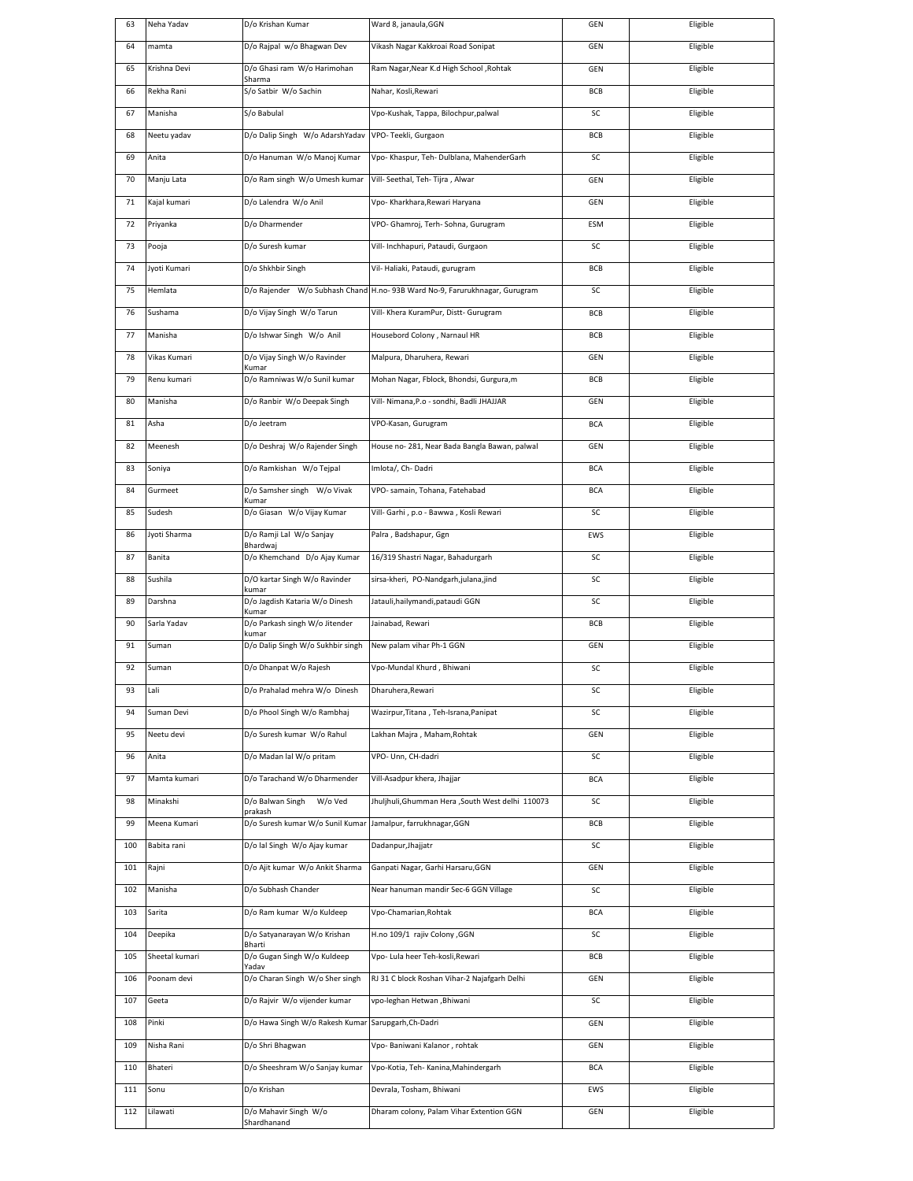| 63  | Neha Yadav     | D/o Krishan Kumar                                | Ward 8, janaula, GGN                                                       | GEN        | Eligible |
|-----|----------------|--------------------------------------------------|----------------------------------------------------------------------------|------------|----------|
| 64  | mamta          | D/o Rajpal w/o Bhagwan Dev                       | Vikash Nagar Kakkroai Road Sonipat                                         | GEN        | Eligible |
| 65  | Krishna Devi   | D/o Ghasi ram W/o Harimohan<br>Sharma            | Ram Nagar, Near K.d High School, Rohtak                                    | GEN        | Eligible |
| 66  | Rekha Rani     | S/o Satbir W/o Sachin                            | Nahar, Kosli, Rewari                                                       | <b>BCB</b> | Eligible |
| 67  | Manisha        | S/o Babulal                                      | Vpo-Kushak, Tappa, Bilochpur,palwal                                        | SC         | Eligible |
| 68  | Neetu yadav    | D/o Dalip Singh W/o AdarshYadav                  | VPO-Teekli, Gurgaon                                                        | BCB        | Eligible |
| 69  | Anita          | D/o Hanuman W/o Manoj Kumar                      | Vpo- Khaspur, Teh- Dulblana, MahenderGarh                                  | SC         | Eligible |
| 70  | Manju Lata     | D/o Ram singh W/o Umesh kumar                    | Vill- Seethal, Teh- Tijra, Alwar                                           | GEN        | Eligible |
| 71  | Kajal kumari   | D/o Lalendra W/o Anil                            | Vpo- Kharkhara, Rewari Haryana                                             | GEN        | Eligible |
| 72  | Priyanka       | D/o Dharmender                                   | VPO- Ghamroj, Terh- Sohna, Gurugram                                        | ESM        | Eligible |
| 73  | Pooja          | D/o Suresh kumar                                 | Vill- Inchhapuri, Pataudi, Gurgaon                                         | SC         | Eligible |
| 74  | Jyoti Kumari   | D/o Shkhbir Singh                                | Vil- Haliaki, Pataudi, gurugram                                            | BCB        | Eligible |
| 75  | Hemlata        |                                                  | D/o Rajender W/o Subhash Chand H.no-93B Ward No-9, Farurukhnagar, Gurugram | SC         | Eligible |
| 76  | Sushama        | D/o Vijay Singh W/o Tarun                        | Vill- Khera KuramPur, Distt- Gurugram                                      | BCB        | Eligible |
| 77  | Manisha        | D/o Ishwar Singh W/o Anil                        | Housebord Colony, Narnaul HR                                               | BCB        | Eligible |
| 78  | Vikas Kumari   | D/o Vijay Singh W/o Ravinder<br>Kumar            | Malpura, Dharuhera, Rewari                                                 | GEN        | Eligible |
| 79  | Renu kumari    | D/o Ramniwas W/o Sunil kumar                     | Mohan Nagar, Fblock, Bhondsi, Gurgura,m                                    | <b>BCB</b> | Eligible |
| 80  | Manisha        | D/o Ranbir W/o Deepak Singh                      | Vill- Nimana, P.o - sondhi, Badli JHAJJAR                                  | GEN        | Eligible |
| 81  | Asha           | D/o Jeetram                                      | VPO-Kasan, Gurugram                                                        | <b>BCA</b> | Eligible |
| 82  | Meenesh        | D/o Deshraj W/o Rajender Singh                   | House no- 281, Near Bada Bangla Bawan, palwal                              | GEN        | Eligible |
| 83  | Soniya         | D/o Ramkishan W/o Tejpal                         | Imlota/, Ch-Dadri                                                          | <b>BCA</b> | Eligible |
| 84  | Gurmeet        | D/o Samsher singh W/o Vivak                      | VPO- samain, Tohana, Fatehabad                                             | <b>BCA</b> | Eligible |
| 85  | Sudesh         | Kumar<br>D/o Giasan W/o Vijay Kumar              | Vill- Garhi, p.o - Bawwa, Kosli Rewari                                     | SC         | Eligible |
| 86  | Jyoti Sharma   | D/o Ramji Lal W/o Sanjay                         | Palra, Badshapur, Ggn                                                      | EWS        | Eligible |
| 87  | Banita         | Bhardwaj<br>D/o Khemchand D/o Ajay Kumar         | 16/319 Shastri Nagar, Bahadurgarh                                          | SC         | Eligible |
| 88  | Sushila        | D/O kartar Singh W/o Ravinder                    | sirsa-kheri, PO-Nandgarh,julana,jind                                       | SC         | Eligible |
| 89  | Darshna        | kumar<br>D/o Jagdish Kataria W/o Dinesh<br>Kumar | Jatauli, hailymandi, pataudi GGN                                           | SC         | Eligible |
| 90  | Sarla Yadav    | D/o Parkash singh W/o Jitender                   | Jainabad, Rewari                                                           | BCB        | Eligible |
| 91  | Suman          | kumar<br>D/o Dalip Singh W/o Sukhbir singh       | New palam vihar Ph-1 GGN                                                   | GEN        | Eligible |
| 92  | Suman          | D/o Dhanpat W/o Rajesh                           | Vpo-Mundal Khurd, Bhiwani                                                  | SC         | Eligible |
| ୬३  | Lali           | D/o Prahalad mehra W/o Dinesh                    | Dharuhera, Rewari                                                          | SС.        | Eligible |
| 94  | Suman Devi     | D/o Phool Singh W/o Rambhaj                      | Wazirpur, Titana, Teh-Israna, Panipat                                      | SC         | Eligible |
| 95  | Neetu devi     | D/o Suresh kumar W/o Rahul                       | Lakhan Majra, Maham, Rohtak                                                | GEN        | Eligible |
| 96  | Anita          | D/o Madan lal W/o pritam                         | VPO- Unn, CH-dadri                                                         | SC         | Eligible |
| 97  | Mamta kumari   | D/o Tarachand W/o Dharmender                     | Vill-Asadpur khera, Jhajjar                                                | <b>BCA</b> | Eligible |
| 98  | Minakshi       | D/o Balwan Singh<br>W/o Ved<br>prakash           | Jhuljhuli, Ghumman Hera, South West delhi 110073                           | SC         | Eligible |
| 99  | Meena Kumari   | D/o Suresh kumar W/o Sunil Kumar                 | Jamalpur, farrukhnagar, GGN                                                | BCB        | Eligible |
| 100 | Babita rani    | D/o lal Singh W/o Ajay kumar                     | Dadanpur, Jhajjatr                                                         | SC         | Eligible |
| 101 | Rajni          | D/o Ajit kumar W/o Ankit Sharma                  | Ganpati Nagar, Garhi Harsaru, GGN                                          | GEN        | Eligible |
| 102 | Manisha        | D/o Subhash Chander                              | Near hanuman mandir Sec-6 GGN Village                                      | SC         | Eligible |
| 103 | Sarita         | D/o Ram kumar W/o Kuldeep                        | Vpo-Chamarian, Rohtak                                                      | <b>BCA</b> | Eligible |
| 104 | Deepika        | D/o Satyanarayan W/o Krishan<br>Bharti           | H.no 109/1 rajiv Colony , GGN                                              | SC         | Eligible |
| 105 | Sheetal kumari | D/o Gugan Singh W/o Kuldeep<br>Yadav             | Vpo- Lula heer Teh-kosli, Rewari                                           | BCB        | Eligible |
| 106 | Poonam devi    | D/o Charan Singh W/o Sher singh                  | RJ 31 C block Roshan Vihar-2 Najafgarh Delhi                               | GEN        | Eligible |
| 107 | Geeta          | D/o Rajvir W/o vijender kumar                    | vpo-leghan Hetwan, Bhiwani                                                 | SC         | Eligible |
| 108 | Pinki          | D/o Hawa Singh W/o Rakesh Kumar                  | Sarupgarh, Ch-Dadri                                                        | GEN        | Eligible |
| 109 | Nisha Rani     | D/o Shri Bhagwan                                 | Vpo- Baniwani Kalanor, rohtak                                              | GEN        | Eligible |
| 110 | Bhateri        | D/o Sheeshram W/o Sanjay kumar                   | Vpo-Kotia, Teh- Kanina, Mahindergarh                                       | <b>BCA</b> | Eligible |
| 111 | Sonu           | D/o Krishan                                      | Devrala, Tosham, Bhiwani                                                   | EWS        | Eligible |
| 112 | Lilawati       | D/o Mahavir Singh W/o<br>Shardhanand             | Dharam colony, Palam Vihar Extention GGN                                   | GEN        | Eligible |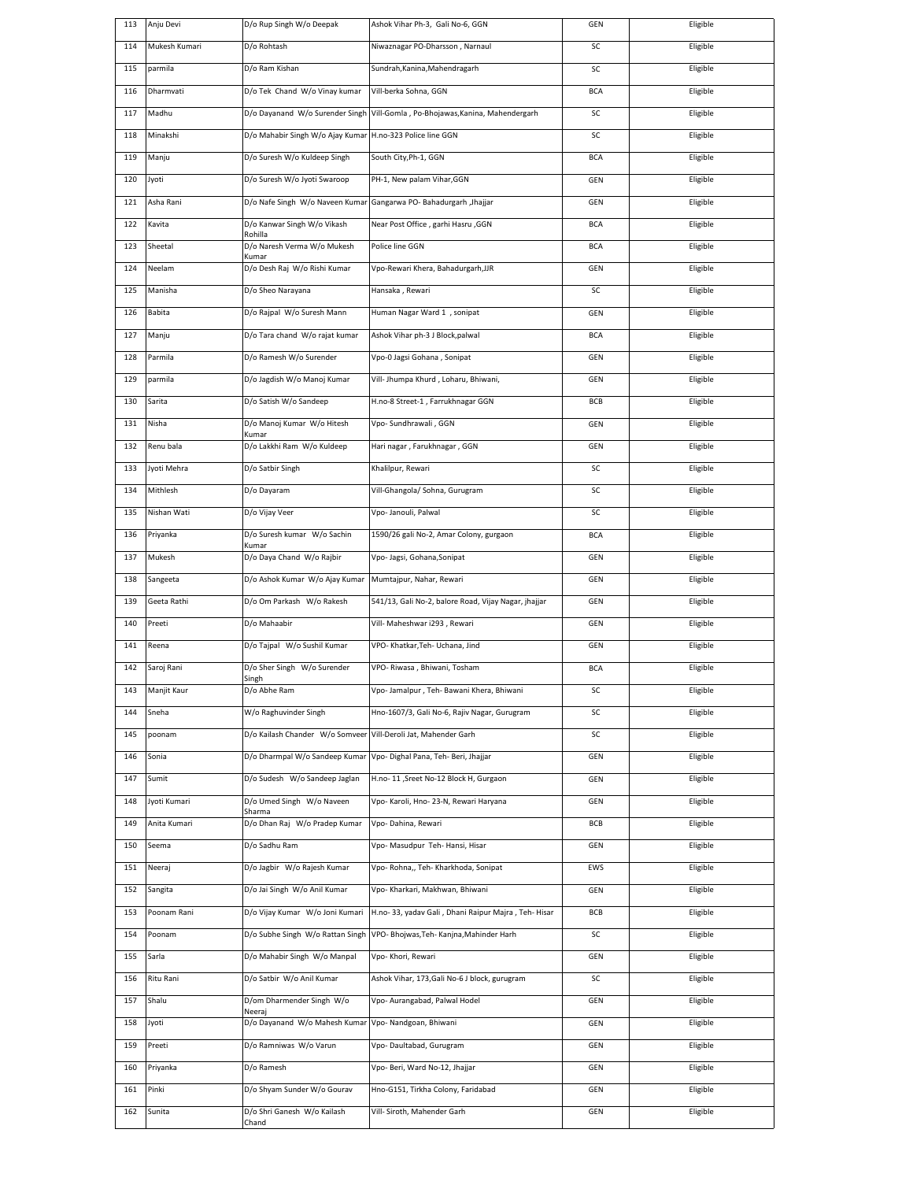|     | Anju Devi     | D/o Rup Singh W/o Deepak                                         | Ashok Vihar Ph-3, Gali No-6, GGN                     | GEN        | Eligible |
|-----|---------------|------------------------------------------------------------------|------------------------------------------------------|------------|----------|
| 114 | Mukesh Kumari | D/o Rohtash                                                      | Niwaznagar PO-Dharsson, Narnaul                      | SC         | Eligible |
| 115 | parmila       | D/o Ram Kishan                                                   | Sundrah, Kanina, Mahendragarh                        | SC         | Eligible |
| 116 | Dharmvati     | D/o Tek Chand W/o Vinay kumar                                    | Vill-berka Sohna, GGN                                | <b>BCA</b> | Eligible |
| 117 | Madhu         | D/o Dayanand W/o Surender Singh                                  | Vill-Gomla, Po-Bhojawas, Kanina, Mahendergarh        | SC         | Eligible |
| 118 | Minakshi      | D/o Mahabir Singh W/o Ajay Kumar H.no-323 Police line GGN        |                                                      | SC         | Eligible |
| 119 | Manju         | D/o Suresh W/o Kuldeep Singh                                     | South City, Ph-1, GGN                                | <b>BCA</b> | Eligible |
| 120 | Jyoti         | D/o Suresh W/o Jyoti Swaroop                                     | PH-1, New palam Vihar, GGN                           | GEN        | Eligible |
| 121 | Asha Rani     | D/o Nafe Singh W/o Naveen Kumar Gangarwa PO-Bahadurgarh ,Jhajjar |                                                      | GEN        | Eligible |
| 122 | Kavita        | D/o Kanwar Singh W/o Vikash<br>Rohilla                           | Near Post Office, garhi Hasru, GGN                   | <b>BCA</b> | Eligible |
| 123 | Sheetal       | D/o Naresh Verma W/o Mukesh                                      | Police line GGN                                      | <b>BCA</b> | Eligible |
| 124 | Neelam        | Kumar<br>D/o Desh Raj W/o Rishi Kumar                            | Vpo-Rewari Khera, Bahadurgarh, JJR                   | GEN        | Eligible |
| 125 | Manisha       | D/o Sheo Narayana                                                | Hansaka, Rewari                                      | SC         | Eligible |
| 126 | Babita        | D/o Rajpal W/o Suresh Mann                                       | Human Nagar Ward 1, sonipat                          | GEN        | Eligible |
| 127 | Manju         | D/o Tara chand W/o rajat kumar                                   | Ashok Vihar ph-3 J Block, palwal                     | <b>BCA</b> | Eligible |
| 128 | Parmila       | D/o Ramesh W/o Surender                                          | Vpo-0 Jagsi Gohana, Sonipat                          | GEN        | Eligible |
| 129 | parmila       | D/o Jagdish W/o Manoj Kumar                                      | Vill- Jhumpa Khurd, Loharu, Bhiwani,                 | GEN        | Eligible |
| 130 | Sarita        | D/o Satish W/o Sandeep                                           | H.no-8 Street-1, Farrukhnagar GGN                    | BCB        | Eligible |
| 131 | Nisha         | D/o Manoj Kumar W/o Hitesh                                       | Vpo- Sundhrawali, GGN                                | GEN        | Eligible |
| 132 | Renu bala     | Kumar<br>D/o Lakkhi Ram W/o Kuldeep                              | Hari nagar, Farukhnagar, GGN                         | GEN        | Eligible |
| 133 | Jyoti Mehra   | D/o Satbir Singh                                                 | Khalilpur, Rewari                                    | SC         | Eligible |
| 134 | Mithlesh      | D/o Dayaram                                                      | Vill-Ghangola/ Sohna, Gurugram                       | SC         | Eligible |
| 135 | Nishan Wati   | D/o Vijay Veer                                                   | Vpo- Janouli, Palwal                                 | SC         | Eligible |
|     |               |                                                                  |                                                      |            |          |
| 136 | Priyanka      | D/o Suresh kumar W/o Sachin<br>Kumar                             | 1590/26 gali No-2, Amar Colony, gurgaon              | <b>BCA</b> | Eligible |
| 137 | Mukesh        | D/o Daya Chand W/o Rajbir                                        | Vpo- Jagsi, Gohana, Sonipat                          | GEN        | Eligible |
| 138 | Sangeeta      | D/o Ashok Kumar W/o Ajay Kumar                                   | Mumtajpur, Nahar, Rewari                             | GEN        | Eligible |
|     |               |                                                                  |                                                      |            |          |
| 139 | Geeta Rathi   | D/o Om Parkash W/o Rakesh                                        | 541/13, Gali No-2, balore Road, Vijay Nagar, jhajjar | GEN        | Eligible |
| 140 | Preeti        | D/o Mahaabir                                                     | Vill- Maheshwar i293, Rewari                         | GEN        | Eligible |
| 141 | Reena         | D/o Tajpal W/o Sushil Kumar                                      | VPO- Khatkar, Teh- Uchana, Jind                      | GEN        | Eligible |
| 142 | Saroj Rani    | D/o Sher Singh W/o Surender<br>Singh                             | VPO-Riwasa, Bhiwani, Tosham                          | <b>BCA</b> | Eligible |
| 143 | Manjit Kaur   | D/o Abhe Ram                                                     | Vpo- Jamalpur, Teh- Bawani Khera, Bhiwani            | SC         | Eligible |
| 144 | Sneha         | W/o Raghuvinder Singh                                            | Hno-1607/3, Gali No-6, Rajiv Nagar, Gurugram         | SC         | Eligible |
| 145 | poonam        | D/o Kailash Chander W/o Somveer Vill-Deroli Jat, Mahender Garh   |                                                      | SC         | Eligible |
| 146 | Sonia         | D/o Dharmpal W/o Sandeep Kumar                                   | Vpo- Dighal Pana, Teh- Beri, Jhajjar                 | GEN        | Eligible |
| 147 | Sumit         | D/o Sudesh W/o Sandeep Jaglan                                    | H.no- 11 ,Sreet No-12 Block H, Gurgaon               | GEN        | Eligible |
| 148 | Jyoti Kumari  | D/o Umed Singh W/o Naveen<br>Sharma                              | Vpo- Karoli, Hno- 23-N, Rewari Haryana               | GEN        | Eligible |
| 149 | Anita Kumari  | D/o Dhan Raj W/o Pradep Kumar                                    | Vpo-Dahina, Rewari                                   | BCB        | Eligible |
| 150 | Seema         | D/o Sadhu Ram                                                    | Vpo- Masudpur Teh- Hansi, Hisar                      | GEN        | Eligible |
| 151 | Neeraj        | D/o Jagbir W/o Rajesh Kumar                                      | Vpo- Rohna,, Teh- Kharkhoda, Sonipat                 | EWS        | Eligible |
| 152 | Sangita       | D/o Jai Singh W/o Anil Kumar                                     | Vpo- Kharkari, Makhwan, Bhiwani                      | GEN        | Eligible |
| 153 | Poonam Rani   | D/o Vijay Kumar W/o Joni Kumari                                  | H.no- 33, yadav Gali, Dhani Raipur Majra, Teh- Hisar | BCB        | Eligible |
| 154 | Poonam        | D/o Subhe Singh W/o Rattan Singh                                 | VPO- Bhojwas, Teh- Kanjna, Mahinder Harh             | SC         | Eligible |
| 155 | Sarla         | D/o Mahabir Singh W/o Manpal                                     | Vpo- Khori, Rewari                                   | GEN        | Eligible |
| 156 | Ritu Rani     | D/o Satbir W/o Anil Kumar                                        | Ashok Vihar, 173, Gali No-6 J block, gurugram        | SC         | Eligible |
| 157 | Shalu         | D/om Dharmender Singh W/o                                        | Vpo- Aurangabad, Palwal Hodel                        | GEN        | Eligible |
| 158 | Jyoti         | Neeraj<br>D/o Dayanand W/o Mahesh Kumar                          | Vpo- Nandgoan, Bhiwani                               | GEN        | Eligible |
| 159 | Preeti        | D/o Ramniwas W/o Varun                                           | Vpo-Daultabad, Gurugram                              | GEN        | Eligible |
| 160 | Priyanka      | D/o Ramesh                                                       | Vpo- Beri, Ward No-12, Jhajjar                       | GEN        | Eligible |
| 161 | Pinki         | D/o Shyam Sunder W/o Gourav                                      | Hno-G151, Tirkha Colony, Faridabad                   | GEN        | Eligible |
| 162 | Sunita        | D/o Shri Ganesh W/o Kailash<br>Chand                             | Vill- Siroth, Mahender Garh                          | GEN        | Eligible |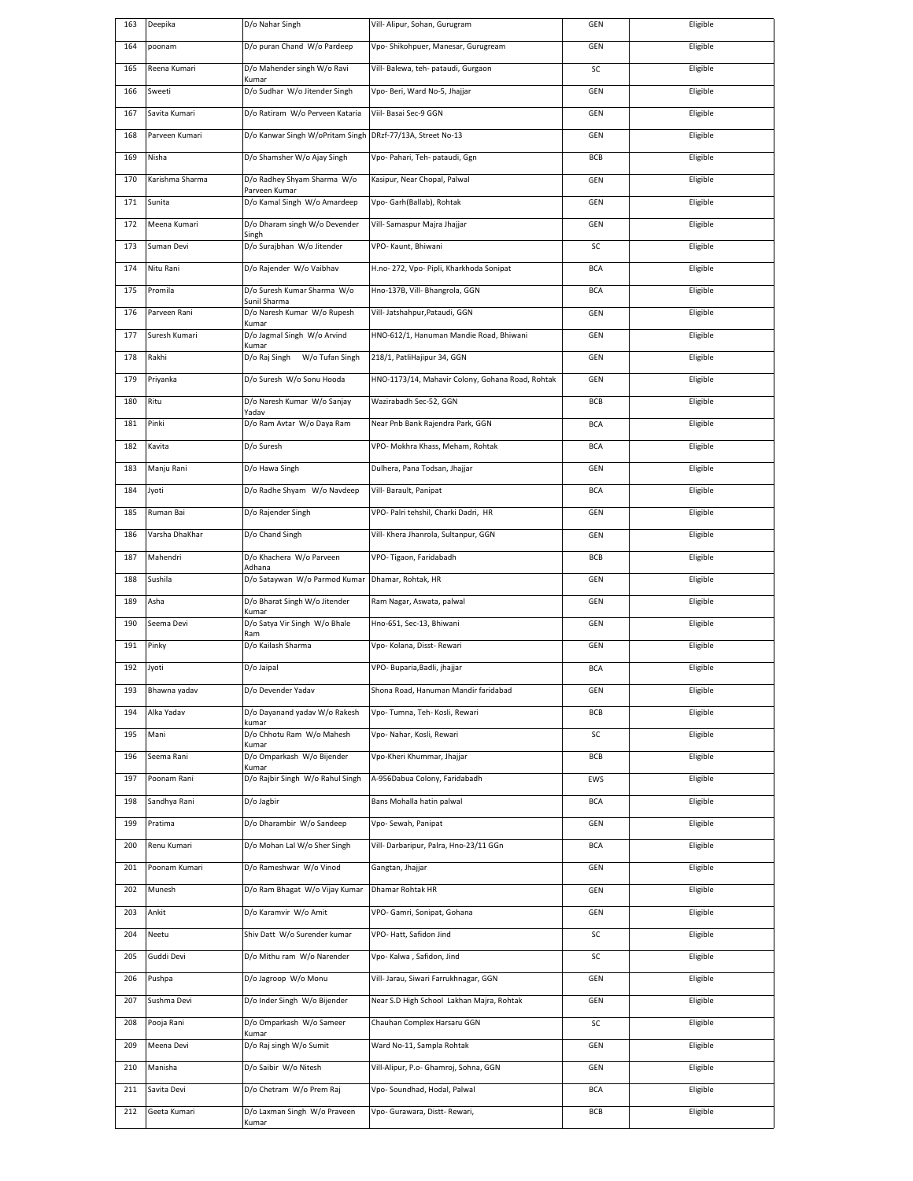| 163 | Deepika         | D/o Nahar Singh                                            | Vill- Alipur, Sohan, Gurugram                    | GEN        | Eligible |
|-----|-----------------|------------------------------------------------------------|--------------------------------------------------|------------|----------|
| 164 | poonam          | D/o puran Chand W/o Pardeep                                | Vpo- Shikohpuer, Manesar, Gurugream              | GEN        | Eligible |
| 165 | Reena Kumari    | D/o Mahender singh W/o Ravi<br>Kumar                       | Vill- Balewa, teh- pataudi, Gurgaon              | SC         | Eligible |
| 166 | Sweeti          | D/o Sudhar W/o Jitender Singh                              | Vpo- Beri, Ward No-5, Jhajjar                    | GEN        | Eligible |
| 167 | Savita Kumari   | D/o Ratiram W/o Perveen Kataria                            | Viil- Basai Sec-9 GGN                            | GEN        | Eligible |
| 168 | Parveen Kumari  | D/o Kanwar Singh W/oPritam Singh DRzf-77/13A, Street No-13 |                                                  | GEN        | Eligible |
| 169 | Nisha           | D/o Shamsher W/o Ajay Singh                                | Vpo- Pahari, Teh- pataudi, Ggn                   | BCB        | Eligible |
| 170 | Karishma Sharma | D/o Radhey Shyam Sharma W/o                                | Kasipur, Near Chopal, Palwal                     | GEN        | Eligible |
| 171 | Sunita          | Parveen Kumar<br>D/o Kamal Singh W/o Amardeep              | Vpo- Garh(Ballab), Rohtak                        | GEN        | Eligible |
| 172 | Meena Kumari    | D/o Dharam singh W/o Devender                              | Vill- Samaspur Majra Jhajjar                     | GEN        | Eligible |
| 173 | Suman Devi      | Singh<br>D/o Surajbhan W/o Jitender                        | VPO- Kaunt, Bhiwani                              | SC         | Eligible |
| 174 | Nitu Rani       | D/o Rajender W/o Vaibhav                                   | H.no- 272, Vpo- Pipli, Kharkhoda Sonipat         | <b>BCA</b> | Eligible |
| 175 | Promila         | D/o Suresh Kumar Sharma W/o                                | Hno-137B, Vill- Bhangrola, GGN                   | <b>BCA</b> | Eligible |
| 176 | Parveen Rani    | Sunil Sharma<br>D/o Naresh Kumar W/o Rupesh                | Vill- Jatshahpur, Pataudi, GGN                   | GEN        | Eligible |
| 177 | Suresh Kumari   | Kumar<br>D/o Jagmal Singh W/o Arvind                       | HNO-612/1, Hanuman Mandie Road, Bhiwani          | GEN        | Eligible |
| 178 | Rakhi           | Kumar<br>D/o Raj Singh W/o Tufan Singh                     | 218/1, PatliHajipur 34, GGN                      | GEN        | Eligible |
| 179 | Priyanka        | D/o Suresh W/o Sonu Hooda                                  | HNO-1173/14, Mahavir Colony, Gohana Road, Rohtak | GEN        | Eligible |
| 180 | Ritu            | D/o Naresh Kumar W/o Sanjay                                | Wazirabadh Sec-52, GGN                           | BCB        | Eligible |
| 181 | Pinki           | Yadav<br>D/o Ram Avtar W/o Daya Ram                        | Near Pnb Bank Rajendra Park, GGN                 | <b>BCA</b> | Eligible |
| 182 | Kavita          | D/o Suresh                                                 | VPO- Mokhra Khass, Meham, Rohtak                 | <b>BCA</b> | Eligible |
|     |                 |                                                            |                                                  |            |          |
| 183 | Manju Rani      | D/o Hawa Singh                                             | Dulhera, Pana Todsan, Jhajjar                    | GEN        | Eligible |
| 184 | Jyoti           | D/o Radhe Shyam W/o Navdeep                                | Vill- Barault, Panipat                           | <b>BCA</b> | Eligible |
| 185 | Ruman Bai       | D/o Rajender Singh                                         | VPO- Palri tehshil, Charki Dadri, HR             | GEN        | Eligible |
| 186 | Varsha DhaKhar  | D/o Chand Singh                                            | Vill- Khera Jhanrola, Sultanpur, GGN             | GEN        | Eligible |
| 187 | Mahendri        | D/o Khachera W/o Parveen<br>Adhana                         | VPO-Tigaon, Faridabadh                           | BCB        | Eligible |
| 188 | Sushila         | D/o Sataywan W/o Parmod Kumar                              | Dhamar, Rohtak, HR                               | GEN        | Eligible |
| 189 | Asha            | D/o Bharat Singh W/o Jitender<br>Kumar                     | Ram Nagar, Aswata, palwal                        | GEN        | Eligible |
| 190 | Seema Devi      | D/o Satya Vir Singh W/o Bhale<br>Ram                       | Hno-651, Sec-13, Bhiwani                         | GEN        | Eligible |
| 191 | Pinky           | D/o Kailash Sharma                                         | Vpo- Kolana, Disst- Rewari                       | GEN        | Eligible |
| 192 | Jyoti           | D/o Jaipal                                                 | VPO- Buparia, Badli, jhajjar                     | <b>BCA</b> | Eligible |
| 193 | Bhawna yadav    | D/o Devender Yadav                                         | Shona Road, Hanuman Mandir faridabad             | GEN        | Eligible |
| 194 | Alka Yadav      | D/o Dayanand yadav W/o Rakesh<br>kumar                     | Vpo- Tumna, Teh- Kosli, Rewari                   | BCB        | Eligible |
| 195 | Mani            | D/o Chhotu Ram W/o Mahesh<br>Kumar                         | Vpo- Nahar, Kosli, Rewari                        | SC         | Eligible |
| 196 | Seema Rani      | D/o Omparkash W/o Bijender<br>Kumar                        | Vpo-Kheri Khummar, Jhajjar                       | BCB        | Eligible |
| 197 | Poonam Rani     | D/o Rajbir Singh W/o Rahul Singh                           | A-956Dabua Colony, Faridabadh                    | EWS        | Eligible |
| 198 | Sandhya Rani    | D/o Jagbir                                                 | Bans Mohalla hatin palwal                        | BCA        | Eligible |
| 199 | Pratima         | D/o Dharambir W/o Sandeep                                  | Vpo-Sewah, Panipat                               | GEN        | Eligible |
| 200 | Renu Kumari     | D/o Mohan Lal W/o Sher Singh                               | Vill- Darbaripur, Palra, Hno-23/11 GGn           | <b>BCA</b> | Eligible |
| 201 | Poonam Kumari   | D/o Rameshwar W/o Vinod                                    | Gangtan, Jhajjar                                 | GEN        | Eligible |
| 202 | Munesh          | D/o Ram Bhagat W/o Vijay Kumar                             | Dhamar Rohtak HR                                 | GEN        | Eligible |
| 203 | Ankit           | D/o Karamvir W/o Amit                                      | VPO- Gamri, Sonipat, Gohana                      | GEN        | Eligible |
| 204 | Neetu           | Shiv Datt W/o Surender kumar                               | VPO-Hatt, Safidon Jind                           | SC         | Eligible |
| 205 | Guddi Devi      | D/o Mithu ram W/o Narender                                 | Vpo- Kalwa, Safidon, Jind                        | SC         | Eligible |
| 206 | Pushpa          | D/o Jagroop W/o Monu                                       | Vill- Jarau, Siwari Farrukhnagar, GGN            | GEN        | Eligible |
| 207 | Sushma Devi     | D/o Inder Singh W/o Bijender                               | Near S.D High School Lakhan Majra, Rohtak        | GEN        | Eligible |
| 208 | Pooja Rani      | D/o Omparkash W/o Sameer                                   | Chauhan Complex Harsaru GGN                      | SC         | Eligible |
| 209 | Meena Devi      | Kumar<br>D/o Raj singh W/o Sumit                           | Ward No-11, Sampla Rohtak                        | GEN        | Eligible |
| 210 | Manisha         | D/o Saibir W/o Nitesh                                      | Vill-Alipur, P.o- Ghamroj, Sohna, GGN            | GEN        | Eligible |
| 211 | Savita Devi     | D/o Chetram W/o Prem Raj                                   | Vpo- Soundhad, Hodal, Palwal                     | <b>BCA</b> | Eligible |
| 212 | Geeta Kumari    | D/o Laxman Singh W/o Praveen                               | Vpo- Gurawara, Distt- Rewari,                    | BCB        | Eligible |
|     |                 | Kumar                                                      |                                                  |            |          |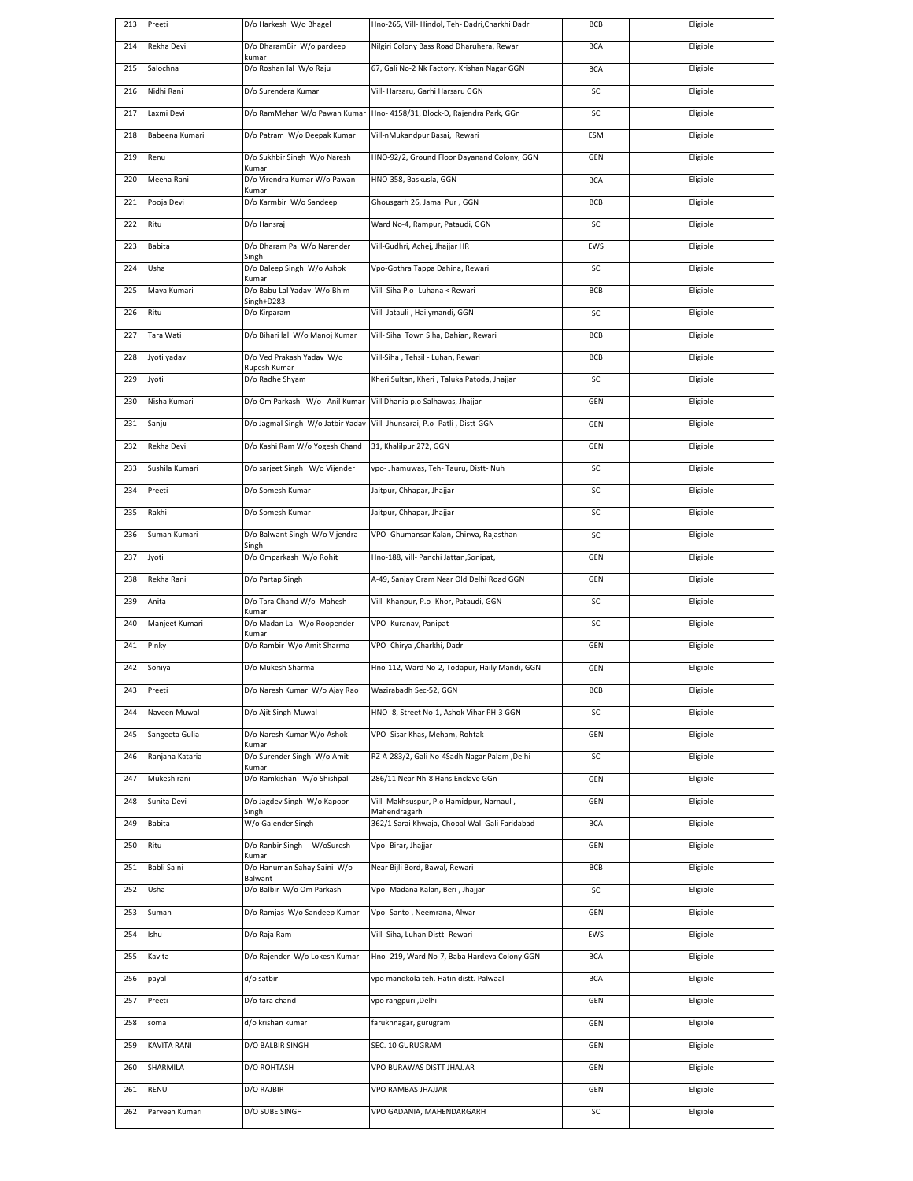| 213 | Preeti          | D/o Harkesh W/o Bhagel                  | Hno-265, Vill- Hindol, Teh- Dadri, Charkhi Dadri               | BCB        | Eligible |
|-----|-----------------|-----------------------------------------|----------------------------------------------------------------|------------|----------|
| 214 | Rekha Devi      | D/o DharamBir W/o pardeep<br>kumar      | Nilgiri Colony Bass Road Dharuhera, Rewari                     | <b>BCA</b> | Eligible |
| 215 | Salochna        | D/o Roshan lal W/o Raju                 | 67, Gali No-2 Nk Factory. Krishan Nagar GGN                    | <b>BCA</b> | Eligible |
| 216 | Nidhi Rani      | D/o Surendera Kumar                     | Vill- Harsaru, Garhi Harsaru GGN                               | SC         | Eligible |
| 217 | Laxmi Devi      | D/o RamMehar W/o Pawan Kumar            | Hno- 4158/31, Block-D, Rajendra Park, GGn                      | SC         | Eligible |
| 218 | Babeena Kumari  | D/o Patram W/o Deepak Kumar             | Vill-nMukandpur Basai, Rewari                                  | ESM        | Eligible |
| 219 | Renu            | D/o Sukhbir Singh W/o Naresh            | HNO-92/2, Ground Floor Dayanand Colony, GGN                    | GEN        | Eligible |
| 220 | Meena Rani      | Kumar<br>D/o Virendra Kumar W/o Pawan   | HNO-358, Baskusla, GGN                                         | <b>BCA</b> | Eligible |
| 221 | Pooja Devi      | Kumar<br>D/o Karmbir W/o Sandeep        | Ghousgarh 26, Jamal Pur, GGN                                   | <b>BCB</b> | Eligible |
| 222 | Ritu            | D/o Hansraj                             | Ward No-4, Rampur, Pataudi, GGN                                | SC         | Eligible |
| 223 | Babita          | D/o Dharam Pal W/o Narender             | Vill-Gudhri, Achej, Jhajjar HR                                 | EWS        | Eligible |
| 224 | Usha            | Singh<br>D/o Daleep Singh W/o Ashok     | Vpo-Gothra Tappa Dahina, Rewari                                | SC         | Eligible |
| 225 | Maya Kumari     | Kumar<br>D/o Babu Lal Yadav W/o Bhim    | Vill- Siha P.o- Luhana < Rewari                                | BCB        | Eligible |
| 226 | Ritu            | Singh+D283<br>D/o Kirparam              | Vill- Jatauli, Hailymandi, GGN                                 | SC         | Eligible |
| 227 | Tara Wati       | D/o Bihari lal W/o Manoj Kumar          | Vill- Siha Town Siha, Dahian, Rewari                           | <b>BCB</b> | Eligible |
| 228 | Jyoti yadav     | D/o Ved Prakash Yadav W/o               | Vill-Siha, Tehsil - Luhan, Rewari                              | BCB        | Eligible |
|     |                 | Rupesh Kumar                            |                                                                |            |          |
| 229 | Jyoti           | D/o Radhe Shyam                         | Kheri Sultan, Kheri, Taluka Patoda, Jhajjar                    | SC         | Eligible |
| 230 | Nisha Kumari    | D/o Om Parkash W/o Anil Kumar           | Vill Dhania p.o Salhawas, Jhajjar                              | GEN        | Eligible |
| 231 | Sanju           | D/o Jagmal Singh W/o Jatbir Yadav       | Vill- Jhunsarai, P.o- Patli, Distt-GGN                         | GEN        | Eligible |
| 232 | Rekha Devi      | D/o Kashi Ram W/o Yogesh Chand          | 31, Khalilpur 272, GGN                                         | GEN        | Eligible |
| 233 | Sushila Kumari  | D/o sarjeet Singh W/o Vijender          | vpo- Jhamuwas, Teh- Tauru, Distt- Nuh                          | SC         | Eligible |
| 234 | Preeti          | D/o Somesh Kumar                        | Jaitpur, Chhapar, Jhajjar                                      | SC         | Eligible |
| 235 | Rakhi           | D/o Somesh Kumar                        | Jaitpur, Chhapar, Jhajjar                                      | SC         | Eligible |
| 236 | Suman Kumari    | D/o Balwant Singh W/o Vijendra<br>Singh | VPO- Ghumansar Kalan, Chirwa, Rajasthan                        | SC         | Eligible |
| 237 | Jyoti           | D/o Omparkash W/o Rohit                 | Hno-188, vill- Panchi Jattan, Sonipat,                         | GEN        | Eligible |
| 238 | Rekha Rani      | D/o Partap Singh                        | A-49, Sanjay Gram Near Old Delhi Road GGN                      | GEN        | Eligible |
| 239 | Anita           | D/o Tara Chand W/o Mahesh<br>Kumar      | Vill- Khanpur, P.o- Khor, Pataudi, GGN                         | SC         | Eligible |
| 240 | Manjeet Kumari  | D/o Madan Lal W/o Roopender<br>Kumar    | VPO- Kuranav, Panipat                                          | SC         | Eligible |
| 241 | Pinky           | D/o Rambir W/o Amit Sharma              | VPO- Chirya ,Charkhi, Dadri                                    | GEN        | Eligible |
| 242 | Soniya          | D/o Mukesh Sharma                       | Hno-112, Ward No-2, Todapur, Haily Mandi, GGN                  | GEN        | Eligible |
| 243 | Preeti          | D/o Naresh Kumar W/o Ajay Rao           | Wazirabadh Sec-52, GGN                                         | BCB        | Eligible |
| 244 | Naveen Muwal    | D/o Ajit Singh Muwal                    | HNO- 8, Street No-1, Ashok Vihar PH-3 GGN                      | SC         | Eligible |
| 245 | Sangeeta Gulia  | D/o Naresh Kumar W/o Ashok              | VPO- Sisar Khas, Meham, Rohtak                                 | GEN        | Eligible |
| 246 | Ranjana Kataria | Kumar<br>D/o Surender Singh W/o Amit    | RZ-A-283/2, Gali No-4Sadh Nagar Palam ,Delhi                   | SC         | Eligible |
| 247 | Mukesh rani     | Kumar<br>D/o Ramkishan W/o Shishpal     | 286/11 Near Nh-8 Hans Enclave GGn                              | GEN        | Eligible |
| 248 | Sunita Devi     | D/o Jagdev Singh W/o Kapoor             | Vill- Makhsuspur, P.o Hamidpur, Narnaul,                       | GEN        | Eligible |
| 249 | Babita          | Singh<br>W/o Gajender Singh             | Mahendragarh<br>362/1 Sarai Khwaja, Chopal Wali Gali Faridabad | <b>BCA</b> | Eligible |
| 250 | Ritu            | D/o Ranbir Singh W/oSuresh              | Vpo- Birar, Jhajjar                                            | GEN        | Eligible |
| 251 | Babli Saini     | Kumar<br>D/o Hanuman Sahay Saini W/o    | Near Bijli Bord, Bawal, Rewari                                 | BCB        | Eligible |
| 252 | Usha            | Balwant<br>D/o Balbir W/o Om Parkash    | Vpo- Madana Kalan, Beri, Jhajjar                               | SC         | Eligible |
| 253 | Suman           | D/o Ramjas W/o Sandeep Kumar            | Vpo- Santo, Neemrana, Alwar                                    | GEN        | Eligible |
| 254 | Ishu            | D/o Raja Ram                            | Vill- Siha, Luhan Distt- Rewari                                | EWS        | Eligible |
| 255 | Kavita          | D/o Rajender W/o Lokesh Kumar           | Hno- 219, Ward No-7, Baba Hardeva Colony GGN                   | <b>BCA</b> | Eligible |
| 256 | payal           | d/o satbir                              | vpo mandkola teh. Hatin distt. Palwaal                         | <b>BCA</b> | Eligible |
| 257 | Preeti          | D/o tara chand                          | vpo rangpuri ,Delhi                                            | GEN        | Eligible |
| 258 | soma            | d/o krishan kumar                       | farukhnagar, gurugram                                          | GEN        | Eligible |
| 259 | KAVITA RANI     | D/O BALBIR SINGH                        | SEC. 10 GURUGRAM                                               |            | Eligible |
|     |                 |                                         |                                                                | GEN        |          |
| 260 | SHARMILA        | D/O ROHTASH                             | VPO BURAWAS DISTT JHAJJAR                                      | GEN        | Eligible |
| 261 | RENU            | D/O RAJBIR                              | VPO RAMBAS JHAJJAR                                             | GEN        | Eligible |
| 262 | Parveen Kumari  | D/O SUBE SINGH                          | VPO GADANIA, MAHENDARGARH                                      | SC         | Eligible |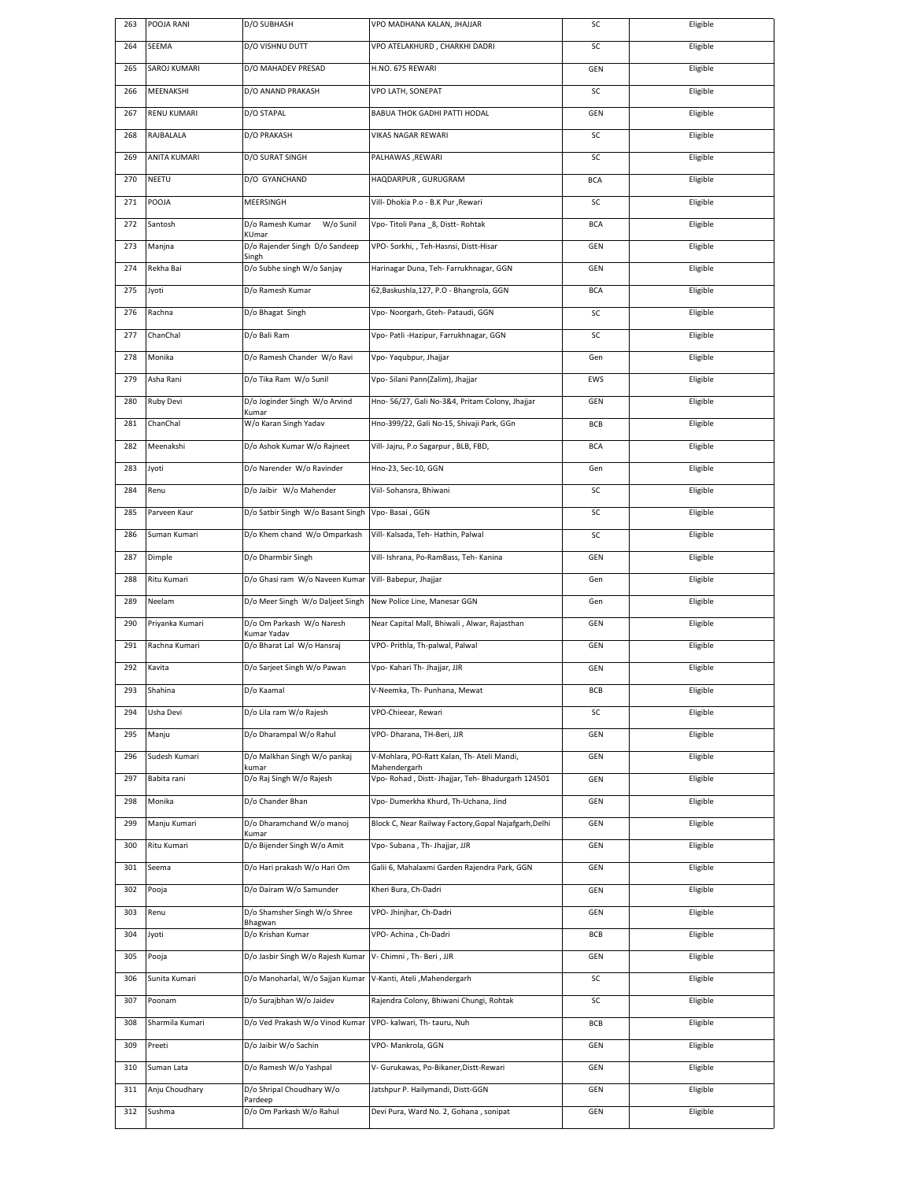| 263        | POOJA RANI               | D/O SUBHASH                                                      | VPO MADHANA KALAN, JHAJJAR                                                  | SC         | Eligible             |
|------------|--------------------------|------------------------------------------------------------------|-----------------------------------------------------------------------------|------------|----------------------|
| 264        | SEEMA                    | D/O VISHNU DUTT                                                  | VPO ATELAKHURD, CHARKHI DADRI                                               | SC         | Eligible             |
| 265        | SAROJ KUMARI             | D/O MAHADEV PRESAD                                               | H.NO. 675 REWARI                                                            | GEN        | Eligible             |
| 266        | MEENAKSHI                | D/O ANAND PRAKASH                                                | VPO LATH, SONEPAT                                                           | SC         | Eligible             |
| 267        | <b>RENU KUMARI</b>       | D/O STAPAL                                                       | BABUA THOK GADHI PATTI HODAL                                                | GEN        | Eligible             |
| 268        | RAJBALALA                | D/O PRAKASH                                                      | VIKAS NAGAR REWARI                                                          | SC         | Eligible             |
| 269        | <b>ANITA KUMARI</b>      | D/O SURAT SINGH                                                  | PALHAWAS , REWARI                                                           | SC         | Eligible             |
| 270        | NEETU                    | D/O GYANCHAND                                                    | HAQDARPUR, GURUGRAM                                                         | <b>BCA</b> | Eligible             |
| 271        | POOJA                    | MEERSINGH                                                        | Vill- Dhokia P.o - B.K Pur , Rewari                                         | SC         | Eligible             |
| 272        | Santosh                  | W/o Sunil<br>D/o Ramesh Kumar                                    | Vpo-Titoli Pana 8, Distt-Rohtak                                             | <b>BCA</b> | Eligible             |
| 273        | Manjna                   | KUmar<br>D/o Rajender Singh D/o Sandeep                          | VPO- Sorkhi, , Teh-Hasnsi, Distt-Hisar                                      | GEN        | Eligible             |
| 274        | Rekha Bai                | Singh<br>D/o Subhe singh W/o Sanjay                              | Harinagar Duna, Teh- Farrukhnagar, GGN                                      | GEN        | Eligible             |
| 275        | Jyoti                    | D/o Ramesh Kumar                                                 | 62, Baskushla, 127, P.O - Bhangrola, GGN                                    | <b>BCA</b> | Eligible             |
| 276        | Rachna                   |                                                                  |                                                                             | SC         | Eligible             |
|            | ChanChal                 | D/o Bhagat Singh<br>D/o Bali Ram                                 | Vpo- Noorgarh, Gteh- Pataudi, GGN                                           |            |                      |
| 277        |                          |                                                                  | Vpo- Patli -Hazipur, Farrukhnagar, GGN                                      | SC         | Eligible             |
| 278        | Monika                   | D/o Ramesh Chander W/o Ravi                                      | Vpo-Yaqubpur, Jhajjar                                                       | Gen        | Eligible             |
| 279        | Asha Rani                | D/o Tika Ram W/o Sunil                                           | Vpo- Silani Pann(Zalim), Jhajjar                                            | EWS        | Eligible             |
| 280        | Ruby Devi                | D/o Joginder Singh W/o Arvind<br>Kumar                           | Hno-56/27, Gali No-3&4, Pritam Colony, Jhajjar                              | <b>GEN</b> | Eligible             |
| 281        | ChanChal                 | W/o Karan Singh Yadav                                            | Hno-399/22, Gali No-15, Shivaji Park, GGn                                   | BCB        | Eligible             |
| 282        | Meenakshi                | D/o Ashok Kumar W/o Rajneet                                      | Vill- Jajru, P.o Sagarpur, BLB, FBD,                                        | <b>BCA</b> | Eligible             |
| 283        | Jyoti                    | D/o Narender W/o Ravinder                                        | Hno-23, Sec-10, GGN                                                         | Gen        | Eligible             |
| 284        | Renu                     | D/o Jaibir W/o Mahender                                          | Viil- Sohansra, Bhiwani                                                     | SC         | Eligible             |
| 285        | Parveen Kaur             | D/o Satbir Singh W/o Basant Singh                                | Vpo-Basai, GGN                                                              | SC         | Eligible             |
| 286        | Suman Kumari             | D/o Khem chand W/o Omparkash                                     | Vill- Kalsada, Teh- Hathin, Palwal                                          | SC         | Eligible             |
| 287        | Dimple                   | D/o Dharmbir Singh                                               | Vill- Ishrana, Po-RamBass, Teh- Kanina                                      | GEN        | Eligible             |
| 288        | Ritu Kumari              | D/o Ghasi ram W/o Naveen Kumar                                   | Vill- Babepur, Jhajjar                                                      | Gen        | Eligible             |
| 289        | Neelam                   | D/o Meer Singh W/o Daljeet Singh                                 | New Police Line, Manesar GGN                                                | Gen        | Eligible             |
| 290        | Priyanka Kumari          | D/o Om Parkash W/o Naresh                                        | Near Capital Mall, Bhiwali, Alwar, Rajasthan                                | GEN        | Eligible             |
| 291        | Rachna Kumari            | Kumar Yadav<br>D/o Bharat Lal W/o Hansraj                        | VPO- Prithla, Th-palwal, Palwal                                             | GEN        | Eligible             |
| 292        | Kavita                   | D/o Sarjeet Singh W/o Pawan                                      | Vpo- Kahari Th- Jhajjar, JJR                                                | GEN        | Eligible             |
| 293        | Shahina                  | D/o Kaamal                                                       | V-Neemka, Th- Punhana, Mewat                                                | RCR        | Eligible             |
| 294        | Usha Devi                | D/o Lila ram W/o Rajesh                                          | VPO-Chieear, Rewari                                                         | SC         | Eligible             |
| 295        | Manju                    | D/o Dharampal W/o Rahul                                          | VPO- Dharana, TH-Beri, JJR                                                  | <b>GEN</b> | Eligible             |
| 296        | Sudesh Kumari            | D/o Malkhan Singh W/o pankaj                                     | V-Mohlara, PO-Ratt Kalan, Th- Ateli Mandi,                                  | GEN        | Eligible             |
| 297        | Babita rani              | kumar<br>D/o Raj Singh W/o Rajesh                                | Mahendergarh<br>Vpo- Rohad, Distt- Jhajjar, Teh- Bhadurgarh 124501          | GEN        | Eligible             |
| 298        |                          |                                                                  |                                                                             |            |                      |
| 299        | Monika                   | D/o Chander Bhan                                                 | Vpo- Dumerkha Khurd, Th-Uchana, Jind                                        | GEN        | Eligible             |
|            | Manju Kumari             | D/o Dharamchand W/o manoj                                        | Block C, Near Railway Factory, Gopal Najafgarh, Delhi                       | GEN        | Eligible             |
|            |                          | Kumar                                                            | Vpo- Subana, Th- Jhajjar, JJR                                               |            |                      |
| 300<br>301 | Ritu Kumari<br>Seema     | D/o Bijender Singh W/o Amit<br>D/o Hari prakash W/o Hari Om      | Galii 6, Mahalaxmi Garden Rajendra Park, GGN                                | GEN<br>GEN | Eligible<br>Eligible |
| 302        | Pooja                    | D/o Dairam W/o Samunder                                          | Kheri Bura, Ch-Dadri                                                        | GEN        | Eligible             |
| 303        | Renu                     |                                                                  | VPO- Jhinjhar, Ch-Dadri                                                     | GEN        | Eligible             |
| 304        | Jyoti                    | D/o Shamsher Singh W/o Shree<br>Bhagwan<br>D/o Krishan Kumar     | VPO- Achina, Ch-Dadri                                                       | BCB        | Eligible             |
| 305        |                          | D/o Jasbir Singh W/o Rajesh Kumar                                | V- Chimni, Th- Beri, JJR                                                    |            | Eligible             |
|            | Pooja                    |                                                                  |                                                                             | GEN        |                      |
| 306        | Sunita Kumari            | D/o Manoharlal, W/o Sajjan Kumar                                 | V-Kanti, Ateli , Mahendergarh                                               | SC         | Eligible             |
| 307        | Poonam                   | D/o Surajbhan W/o Jaidev                                         | Rajendra Colony, Bhiwani Chungi, Rohtak                                     | SC         | Eligible             |
| 308        | Sharmila Kumari          | D/o Ved Prakash W/o Vinod Kumar                                  | VPO- kalwari, Th- tauru, Nuh                                                | BCB        | Eligible             |
| 309        | Preeti                   | D/o Jaibir W/o Sachin                                            | VPO-Mankrola, GGN                                                           | GEN        | Eligible             |
| 310        | Suman Lata               | D/o Ramesh W/o Yashpal                                           | V- Gurukawas, Po-Bikaner, Distt-Rewari                                      | GEN        | Eligible             |
| 311<br>312 | Anju Choudhary<br>Sushma | D/o Shripal Choudhary W/o<br>Pardeep<br>D/o Om Parkash W/o Rahul | Jatshpur P. Hailymandi, Distt-GGN<br>Devi Pura, Ward No. 2, Gohana, sonipat | GEN<br>GEN | Eligible<br>Eligible |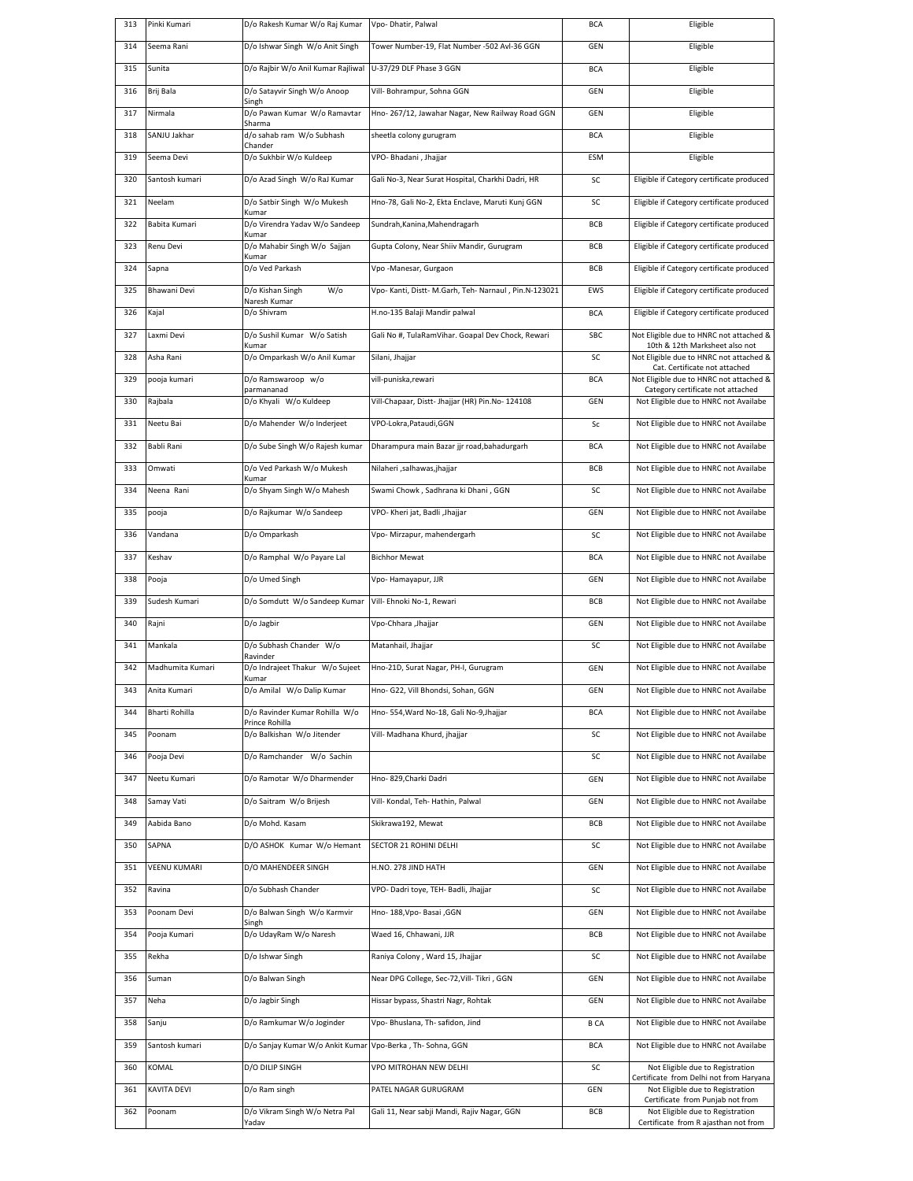| 313 | Pinki Kumari     | D/o Rakesh Kumar W/o Raj Kumar                   | Vpo- Dhatir, Palwal                                   | <b>BCA</b>  | Eligible                                                                     |
|-----|------------------|--------------------------------------------------|-------------------------------------------------------|-------------|------------------------------------------------------------------------------|
| 314 | Seema Rani       | D/o Ishwar Singh W/o Anit Singh                  | Tower Number-19, Flat Number -502 Avl-36 GGN          | GEN         | Eligible                                                                     |
| 315 | Sunita           | D/o Rajbir W/o Anil Kumar Rajliwal               | U-37/29 DLF Phase 3 GGN                               | <b>BCA</b>  | Eligible                                                                     |
| 316 | Brij Bala        | D/o Satayvir Singh W/o Anoop<br>Singh            | Vill- Bohrampur, Sohna GGN                            | GEN         | Eligible                                                                     |
| 317 | Nirmala          | D/o Pawan Kumar W/o Ramavtar<br>Sharma           | Hno-267/12, Jawahar Nagar, New Railway Road GGN       | GEN         | Eligible                                                                     |
| 318 | SANJU Jakhar     | d/o sahab ram W/o Subhash<br>Chander             | sheetla colony gurugram                               | <b>BCA</b>  | Eligible                                                                     |
| 319 | Seema Devi       | D/o Sukhbir W/o Kuldeep                          | VPO-Bhadani, Jhajjar                                  | <b>ESM</b>  | Eligible                                                                     |
| 320 | Santosh kumari   | D/o Azad Singh W/o RaJ Kumar                     | Gali No-3, Near Surat Hospital, Charkhi Dadri, HR     | SC          | Eligible if Category certificate produced                                    |
| 321 | Neelam           | D/o Satbir Singh W/o Mukesh<br>Kumar             | Hno-78, Gali No-2, Ekta Enclave, Maruti Kunj GGN      | SC          | Eligible if Category certificate produced                                    |
| 322 | Babita Kumari    | D/o Virendra Yadav W/o Sandeep<br>Kumar          | Sundrah, Kanina, Mahendragarh                         | <b>BCB</b>  | Eligible if Category certificate produced                                    |
| 323 | Renu Devi        | D/o Mahabir Singh W/o Sajjan<br>Kumar            | Gupta Colony, Near Shiiv Mandir, Gurugram             | <b>BCB</b>  | Eligible if Category certificate produced                                    |
| 324 | Sapna            | D/o Ved Parkash                                  | Vpo -Manesar, Gurgaon                                 | <b>BCB</b>  | Eligible if Category certificate produced                                    |
| 325 | Bhawani Devi     | D/o Kishan Singh<br>W/o<br>Naresh Kumar          | Vpo- Kanti, Distt- M.Garh, Teh- Narnaul, Pin.N-123021 | EWS         | Eligible if Category certificate produced                                    |
| 326 | Kajal            | D/o Shivram                                      | H.no-135 Balaji Mandir palwal                         | <b>BCA</b>  | Eligible if Category certificate produced                                    |
| 327 | Laxmi Devi       | D/o Sushil Kumar W/o Satish<br>Kumar             | Gali No #, TulaRamVihar. Goapal Dev Chock, Rewari     | SBC         | Not Eligible due to HNRC not attached &<br>10th & 12th Marksheet also not    |
| 328 | Asha Rani        | D/o Omparkash W/o Anil Kumar                     | Silani, Jhajjar                                       | SC          | Not Eligible due to HNRC not attached &<br>Cat. Certificate not attached     |
| 329 | pooja kumari     | D/o Ramswaroop w/o<br>parmananad                 | vill-puniska,rewari                                   | <b>BCA</b>  | Not Eligible due to HNRC not attached &<br>Category certificate not attached |
| 330 | Rajbala          | D/o Khyali W/o Kuldeep                           | Vill-Chapaar, Distt- Jhajjar (HR) Pin.No- 124108      | GEN         | Not Eligible due to HNRC not Availabe                                        |
| 331 | Neetu Bai        | D/o Mahender W/o Inderjeet                       | VPO-Lokra.Pataudi.GGN                                 | Sc          | Not Eligible due to HNRC not Availabe                                        |
| 332 | Babli Rani       | D/o Sube Singh W/o Rajesh kumar                  | Dharampura main Bazar jjr road, bahadurgarh           | <b>BCA</b>  | Not Eligible due to HNRC not Availabe                                        |
| 333 | Omwati           | D/o Ved Parkash W/o Mukesh<br>Kumar              | Nilaheri ,salhawas,jhajjar                            | <b>BCB</b>  | Not Eligible due to HNRC not Availabe                                        |
| 334 | Neena Rani       | D/o Shyam Singh W/o Mahesh                       | Swami Chowk , Sadhrana ki Dhani , GGN                 | SC          | Not Eligible due to HNRC not Availabe                                        |
| 335 | pooja            | D/o Rajkumar W/o Sandeep                         | VPO- Kheri jat, Badli ,Jhajjar                        | GEN         | Not Eligible due to HNRC not Availabe                                        |
| 336 | Vandana          | D/o Omparkash                                    | Vpo- Mirzapur, mahendergarh                           | SC          | Not Eligible due to HNRC not Availabe                                        |
| 337 | Keshav           | D/o Ramphal W/o Payare Lal                       | <b>Bichhor Mewat</b>                                  | <b>BCA</b>  | Not Eligible due to HNRC not Availabe                                        |
| 338 | Pooja            | D/o Umed Singh                                   | Vpo-Hamayapur, JJR                                    | GEN         | Not Eligible due to HNRC not Availabe                                        |
| 339 | Sudesh Kumari    | D/o Somdutt W/o Sandeep Kumar                    | Vill- Ehnoki No-1, Rewari                             | <b>BCB</b>  | Not Eligible due to HNRC not Availabe                                        |
| 340 | Rajni            | D/o Jagbir                                       | Vpo-Chhara ,Jhajjar                                   | GEN         | Not Eligible due to HNRC not Availabe                                        |
| 341 | Mankala          | D/o Subhash Chander W/o<br>Ravinder              | Matanhail, Jhajjar                                    | SC          | Not Eligible due to HNRC not Availabe                                        |
| 342 | Madhumita Kumari | D/o Indrajeet Thakur W/o Sujeet<br>Kumar         | Hno-21D, Surat Nagar, PH-I, Gurugram                  | GEN         | Not Eligible due to HNRC not Availabe                                        |
| 343 | Anita Kumarı     | D/o Amilal W/o Dalip Kumar                       | Hno- G22, Vill Bhondsi, Sohan, GGN                    | GEN         | Not Eligible due to HNRC not Availabe                                        |
| 344 | Bharti Rohilla   | D/o Ravinder Kumar Rohilla W/o<br>Prince Rohilla | Hno- 554, Ward No-18, Gali No-9, Jhajjar              | <b>BCA</b>  | Not Eligible due to HNRC not Availabe                                        |
| 345 | Poonam           | D/o Balkishan W/o Jitender                       | Vill- Madhana Khurd, jhajjar                          | SC          | Not Eligible due to HNRC not Availabe                                        |
| 346 | Pooja Devi       | D/o Ramchander W/o Sachin                        |                                                       | SC          | Not Eligible due to HNRC not Availabe                                        |
| 347 | Neetu Kumari     | D/o Ramotar W/o Dharmender                       | Hno- 829, Charki Dadri                                | GEN         | Not Eligible due to HNRC not Availabe                                        |
| 348 | Samay Vati       | D/o Saitram W/o Brijesh                          | Vill- Kondal, Teh- Hathin, Palwal                     | GEN         | Not Eligible due to HNRC not Availabe                                        |
| 349 | Aabida Bano      | D/o Mohd. Kasam                                  | Skikrawa192, Mewat                                    | BCB         | Not Eligible due to HNRC not Availabe                                        |
| 350 | SAPNA            | D/O ASHOK Kumar W/o Hemant                       | SECTOR 21 ROHINI DELHI                                | SC          | Not Eligible due to HNRC not Availabe                                        |
| 351 | VEENU KUMARI     | D/O MAHENDEER SINGH                              | H.NO. 278 JIND HATH                                   | GEN         | Not Eligible due to HNRC not Availabe                                        |
| 352 | Ravina           | D/o Subhash Chander                              | VPO- Dadri toye, TEH- Badli, Jhajjar                  | SC          | Not Eligible due to HNRC not Availabe                                        |
| 353 | Poonam Devi      | D/o Balwan Singh W/o Karmvir<br>Singh            | Hno- 188, Vpo- Basai , GGN                            | GEN         | Not Eligible due to HNRC not Availabe                                        |
| 354 | Pooja Kumari     | D/o UdayRam W/o Naresh                           | Waed 16, Chhawani, JJR                                | <b>BCB</b>  | Not Eligible due to HNRC not Availabe                                        |
| 355 | Rekha            | D/o Ishwar Singh                                 | Raniya Colony, Ward 15, Jhajjar                       | SC          | Not Eligible due to HNRC not Availabe                                        |
| 356 | Suman            | D/o Balwan Singh                                 | Near DPG College, Sec-72, Vill- Tikri, GGN            | GEN         | Not Eligible due to HNRC not Availabe                                        |
| 357 | Neha             | D/o Jagbir Singh                                 | Hissar bypass, Shastri Nagr, Rohtak                   | GEN         | Not Eligible due to HNRC not Availabe                                        |
| 358 | Sanju            | D/o Ramkumar W/o Joginder                        | Vpo- Bhuslana, Th- safidon, Jind                      | <b>B CA</b> | Not Eligible due to HNRC not Availabe                                        |
| 359 | Santosh kumari   | D/o Sanjay Kumar W/o Ankit Kumar                 | Vpo-Berka, Th-Sohna, GGN                              | <b>BCA</b>  | Not Eligible due to HNRC not Availabe                                        |
| 360 | KOMAL            | D/O DILIP SINGH                                  | VPO MITROHAN NEW DELHI                                | SC          | Not Eligible due to Registration<br>Certificate from Delhi not from Haryana  |
| 361 | KAVITA DEVI      | D/o Ram singh                                    | PATEL NAGAR GURUGRAM                                  | GEN         | Not Eligible due to Registration<br>Certificate from Punjab not from         |
| 362 | Poonam           | D/o Vikram Singh W/o Netra Pal<br>Yadav          | Gali 11, Near sabji Mandi, Rajiv Nagar, GGN           | BCB         | Not Eligible due to Registration<br>Certificate from R ajasthan not from     |
|     |                  |                                                  |                                                       |             |                                                                              |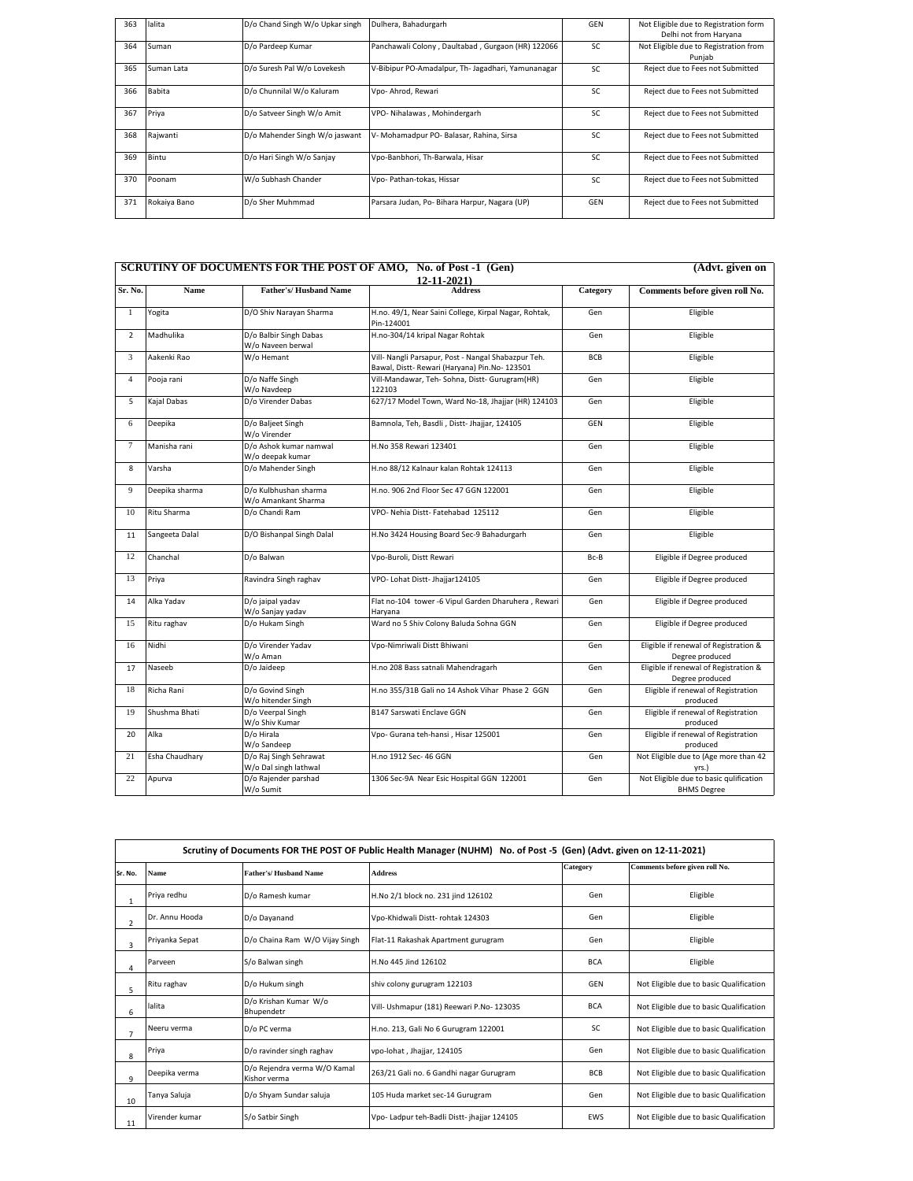| 363 | lalita        | D/o Chand Singh W/o Upkar singh | Dulhera, Bahadurgarh                               | GFN | Not Eligible due to Registration form<br>Delhi not from Haryana |
|-----|---------------|---------------------------------|----------------------------------------------------|-----|-----------------------------------------------------------------|
| 364 | Suman         | D/o Pardeep Kumar               | Panchawali Colony, Daultabad, Gurgaon (HR) 122066  | SC. | Not Eligible due to Registration from<br>Punjab                 |
| 365 | Suman Lata    | D/o Suresh Pal W/o Lovekesh     | V-Bibipur PO-Amadalpur, Th- Jagadhari, Yamunanagar | SC. | Reject due to Fees not Submitted                                |
| 366 | <b>Babita</b> | D/o Chunnilal W/o Kaluram       | Vpo- Ahrod, Rewari                                 | SC. | Reject due to Fees not Submitted                                |
| 367 | Priva         | D/o Satveer Singh W/o Amit      | VPO- Nihalawas, Mohindergarh                       | SC. | Reject due to Fees not Submitted                                |
| 368 | Rajwanti      | D/o Mahender Singh W/o jaswant  | V- Mohamadpur PO- Balasar, Rahina, Sirsa           | SC. | Reject due to Fees not Submitted                                |
| 369 | Bintu         | D/o Hari Singh W/o Sanjay       | Vpo-Banbhori, Th-Barwala, Hisar                    | SC  | Reject due to Fees not Submitted                                |
| 370 | Poonam        | W/o Subhash Chander             | Vpo- Pathan-tokas, Hissar                          | SC. | Reject due to Fees not Submitted                                |
| 371 | Rokaiya Bano  | D/o Sher Muhmmad                | Parsara Judan, Po- Bihara Harpur, Nagara (UP)      | GEN | Reject due to Fees not Submitted                                |

|                              |                                |                                                          | <b>SCRUTINY OF DOCUMENTS FOR THE POST OF AMO, No. of Post -1 (Gen)</b>                               |            | (Advt. given on                                              |
|------------------------------|--------------------------------|----------------------------------------------------------|------------------------------------------------------------------------------------------------------|------------|--------------------------------------------------------------|
|                              |                                |                                                          | $12 - 11 - 2021$                                                                                     |            |                                                              |
| Sr. No.                      | Name                           | <b>Father's/Husband Name</b>                             | <b>Address</b>                                                                                       | Category   | Comments before given roll No.                               |
| $\mathbf{1}$                 | Yogita                         | D/O Shiv Narayan Sharma                                  | H.no. 49/1, Near Saini College, Kirpal Nagar, Rohtak,<br>Pin-124001                                  | Gen        | Eligible                                                     |
| $\overline{2}$               | Madhulika                      | D/o Balbir Singh Dabas<br>W/o Naveen berwal              | H.no-304/14 kripal Nagar Rohtak                                                                      | Gen        | Eligible                                                     |
| 3                            | Aakenki Rao                    | W/o Hemant                                               | Vill- Nangli Parsapur, Post - Nangal Shabazpur Teh.<br>Bawal, Distt- Rewari (Haryana) Pin.No- 123501 | <b>BCB</b> | Eligible                                                     |
| $\overline{4}$<br>Pooja rani | D/o Naffe Singh<br>W/o Navdeep | Vill-Mandawar, Teh- Sohna, Distt- Gurugram(HR)<br>122103 | Gen                                                                                                  | Eligible   |                                                              |
| 5                            | Kajal Dabas                    | D/o Virender Dabas                                       | 627/17 Model Town, Ward No-18, Jhajjar (HR) 124103                                                   | Gen        | Eligible                                                     |
| 6                            | Deepika                        | D/o Baljeet Singh<br>W/o Virender                        | Bamnola, Teh, Basdli, Distt-Jhajjar, 124105                                                          | GEN        | Eligible                                                     |
| $\tau$                       | Manisha rani                   | D/o Ashok kumar namwal<br>W/o deepak kumar               | H.No 358 Rewari 123401                                                                               | Gen        | Eligible                                                     |
| 8                            | Varsha                         | D/o Mahender Singh                                       | H.no 88/12 Kalnaur kalan Rohtak 124113                                                               | Gen        | Eligible                                                     |
| 9                            | Deepika sharma                 | D/o Kulbhushan sharma<br>W/o Amankant Sharma             | H.no. 906 2nd Floor Sec 47 GGN 122001                                                                | Gen        | Eligible                                                     |
| 10                           | Ritu Sharma                    | D/o Chandi Ram                                           | VPO- Nehia Distt-Fatehabad 125112                                                                    | Gen        | Eligible                                                     |
| 11                           | Sangeeta Dalal                 | D/O Bishanpal Singh Dalal                                | H.No 3424 Housing Board Sec-9 Bahadurgarh                                                            | Gen        | Eligible                                                     |
| 12                           | Chanchal                       | D/o Balwan                                               | Vpo-Buroli, Distt Rewari                                                                             | Bc-B       | Eligible if Degree produced                                  |
| 13                           | Priya                          | Ravindra Singh raghav                                    | VPO- Lohat Distt- Jhajjar124105                                                                      | Gen        | Eligible if Degree produced                                  |
| 14                           | Alka Yadav                     | D/o jaipal yadav<br>W/o Sanjay yadav                     | Flat no-104 tower -6 Vipul Garden Dharuhera, Rewari<br>Haryana                                       | Gen        | Eligible if Degree produced                                  |
| 15                           | Ritu raghav                    | D/o Hukam Singh                                          | Ward no 5 Shiv Colony Baluda Sohna GGN                                                               | Gen        | Eligible if Degree produced                                  |
| 16                           | Nidhi                          | D/o Virender Yadav<br>W/o Aman                           | Vpo-Nimriwali Distt Bhiwani                                                                          | Gen        | Eligible if renewal of Registration &<br>Degree produced     |
| 17                           | Naseeb                         | D/o Jaideep                                              | H.no 208 Bass satnali Mahendragarh                                                                   | Gen        | Eligible if renewal of Registration &<br>Degree produced     |
| 18                           | Richa Rani                     | D/o Govind Singh<br>W/o hitender Singh                   | H.no 355/31B Gali no 14 Ashok Vihar Phase 2 GGN                                                      | Gen        | Eligible if renewal of Registration<br>produced              |
| 19                           | Shushma Bhati                  | D/o Veerpal Singh<br>W/o Shiv Kumar                      | <b>B147 Sarswati Enclave GGN</b>                                                                     | Gen        | Eligible if renewal of Registration<br>produced              |
| 20                           | Alka                           | D/o Hirala<br>W/o Sandeep                                | Vpo- Gurana teh-hansi, Hisar 125001                                                                  | Gen        | Eligible if renewal of Registration<br>produced              |
| 21                           | Esha Chaudhary                 | D/o Raj Singh Sehrawat<br>W/o Dal singh lathwal          | H.no 1912 Sec- 46 GGN                                                                                | Gen        | Not Eligible due to (Age more than 42<br>yrs.)               |
| 22                           | Apurva                         | D/o Rajender parshad<br>W/o Sumit                        | 1306 Sec-9A Near Esic Hospital GGN 122001                                                            | Gen        | Not Eligible due to basic qulification<br><b>BHMS Degree</b> |

|                | Scrutiny of Documents FOR THE POST OF Public Health Manager (NUHM) No. of Post -5 (Gen) (Advt. given on 12-11-2021) |                                              |                                             |            |                                         |  |
|----------------|---------------------------------------------------------------------------------------------------------------------|----------------------------------------------|---------------------------------------------|------------|-----------------------------------------|--|
| Sr. No.        | Name                                                                                                                | <b>Father's/Husband Name</b>                 | <b>Address</b>                              | Category   | Comments before given roll No.          |  |
|                | Priya redhu                                                                                                         | D/o Ramesh kumar                             | H.No 2/1 block no. 231 jind 126102          | Gen        | Eligible                                |  |
| $\overline{2}$ | Dr. Annu Hooda                                                                                                      | D/o Dayanand                                 | Vpo-Khidwali Distt-rohtak 124303            | Gen        | Eligible                                |  |
| 3              | Priyanka Sepat                                                                                                      | D/o Chaina Ram W/O Vijay Singh               | Flat-11 Rakashak Apartment gurugram         | Gen        | Eligible                                |  |
| 4              | Parveen                                                                                                             | S/o Balwan singh                             | H.No 445 lind 126102                        | <b>BCA</b> | Eligible                                |  |
| 5              | Ritu raghav                                                                                                         | D/o Hukum singh                              | shiv colony gurugram 122103                 | GEN        | Not Eligible due to basic Qualification |  |
| 6              | lalita                                                                                                              | D/o Krishan Kumar W/o<br>Bhupendetr          | Vill- Ushmapur (181) Reewari P.No- 123035   | <b>BCA</b> | Not Eligible due to basic Qualification |  |
| $\overline{7}$ | Neeru verma                                                                                                         | D/o PC verma                                 | H.no. 213, Gali No 6 Gurugram 122001        | SC.        | Not Eligible due to basic Qualification |  |
| 8              | Priya                                                                                                               | D/o ravinder singh raghav                    | vpo-lohat, Jhajjar, 124105                  | Gen        | Not Eligible due to basic Qualification |  |
| 9              | Deepika verma                                                                                                       | D/o Rejendra verma W/O Kamal<br>Kishor verma | 263/21 Gali no. 6 Gandhi nagar Gurugram     | <b>BCB</b> | Not Eligible due to basic Qualification |  |
| 10             | Tanya Saluja                                                                                                        | D/o Shyam Sundar saluja                      | 105 Huda market sec-14 Gurugram             | Gen        | Not Eligible due to basic Qualification |  |
| 11             | Virender kumar                                                                                                      | S/o Satbir Singh                             | Vpo- Ladpur teh-Badli Distt- ihaiiar 124105 | <b>FWS</b> | Not Eligible due to basic Qualification |  |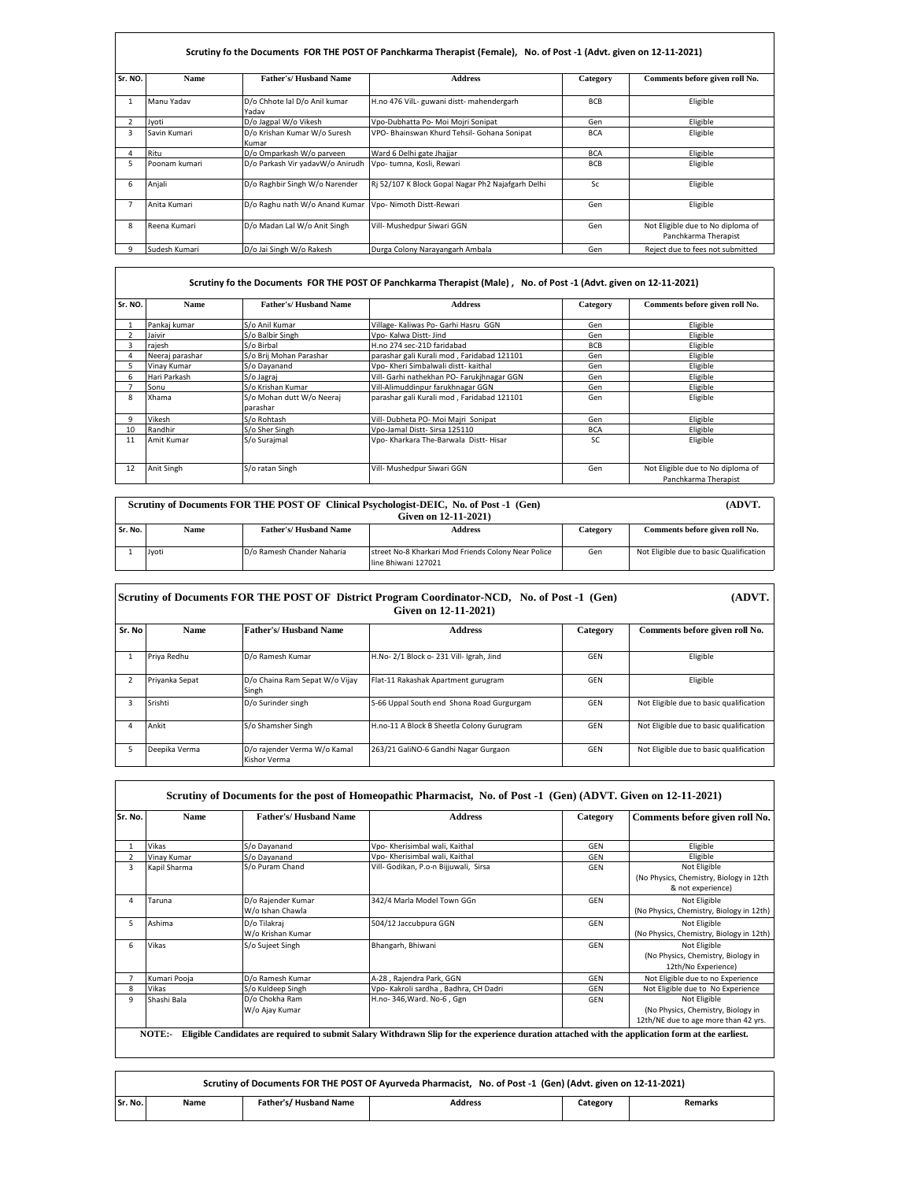|                | Scrutiny fo the Documents FOR THE POST OF Panchkarma Therapist (Female), No. of Post -1 (Advt. given on 12-11-2021) |                                        |                                                   |            |                                                           |  |  |  |
|----------------|---------------------------------------------------------------------------------------------------------------------|----------------------------------------|---------------------------------------------------|------------|-----------------------------------------------------------|--|--|--|
| Sr. NO.        | <b>Name</b>                                                                                                         | <b>Father's/Hushand Name</b>           | <b>Address</b>                                    | Category   | Comments before given roll No.                            |  |  |  |
| 1              | Manu Yadav                                                                                                          | D/o Chhote lal D/o Anil kumar<br>Yadav | H.no 476 Vill- guwani distt- mahendergarh         | <b>BCB</b> | Eligible                                                  |  |  |  |
| $\overline{2}$ | Jvoti                                                                                                               | D/o Jagpal W/o Vikesh                  | Vpo-Dubhatta Po- Moi Mojri Sonipat                | Gen        | Eligible                                                  |  |  |  |
| 3              | Savin Kumari                                                                                                        | D/o Krishan Kumar W/o Suresh<br>Kumar  | VPO- Bhainswan Khurd Tehsil- Gohana Sonipat       | <b>BCA</b> | Eligible                                                  |  |  |  |
| 4              | Ritu                                                                                                                | D/o Omparkash W/o parveen              | Ward 6 Delhi gate Jhajjar                         | <b>BCA</b> | Eligible                                                  |  |  |  |
| 5.             | Poonam kumari                                                                                                       | D/o Parkash Vir yadavW/o Anirudh       | Vpo-tumna, Kosli, Rewari                          | <b>BCB</b> | Eligible                                                  |  |  |  |
| 6              | Anjali                                                                                                              | D/o Raghbir Singh W/o Narender         | Ri 52/107 K Block Gopal Nagar Ph2 Najafgarh Delhi | Sc.        | Eligible                                                  |  |  |  |
|                | Anita Kumari                                                                                                        | D/o Raghu nath W/o Anand Kumar         | Vpo- Nimoth Distt-Rewari                          | Gen        | Eligible                                                  |  |  |  |
| 8              | Reena Kumari                                                                                                        | D/o Madan Lal W/o Anit Singh           | Vill- Mushedpur Siwari GGN                        | Gen        | Not Eligible due to No diploma of<br>Panchkarma Therapist |  |  |  |
|                | Sudesh Kumari                                                                                                       | D/o Jai Singh W/o Rakesh               | Durga Colony Narayangarh Ambala                   | Gen        | Reject due to fees not submitted                          |  |  |  |

|         | Scrutiny fo the Documents FOR THE POST OF Panchkarma Therapist (Male), No. of Post -1 (Advt. given on 12-11-2021) |                                       |                                            |            |                                                           |  |  |
|---------|-------------------------------------------------------------------------------------------------------------------|---------------------------------------|--------------------------------------------|------------|-----------------------------------------------------------|--|--|
| Sr. NO. | <b>Name</b>                                                                                                       | Father's/Husband Name                 | <b>Address</b>                             | Category   | Comments before given roll No.                            |  |  |
|         | Pankaj kumar                                                                                                      | S/o Anil Kumar                        | Village- Kaliwas Po- Garhi Hasru GGN       | Gen        | Eligible                                                  |  |  |
|         | Jaivir                                                                                                            | S/o Balbir Singh                      | Vpo- Kalwa Distt- Jind                     | Gen        | Eligible                                                  |  |  |
|         | rajesh                                                                                                            | S/o Birbal                            | H.no 274 sec-21D faridabad                 | <b>BCB</b> | Eligible                                                  |  |  |
|         | Neeraj parashar                                                                                                   | S/o Brij Mohan Parashar               | parashar gali Kurali mod, Faridabad 121101 | Gen        | Eligible                                                  |  |  |
|         | Vinay Kumar                                                                                                       | S/o Dayanand                          | Vpo- Kheri Simbalwali distt- kaithal       | Gen        | Eligible                                                  |  |  |
| 6       | Hari Parkash                                                                                                      | S/o Jagraj                            | Vill- Garhi nathekhan PO- Farukihnagar GGN | Gen        | Eligible                                                  |  |  |
|         | Sonu                                                                                                              | S/o Krishan Kumar                     | Vill-Alimuddinpur farukhnagar GGN          | Gen        | Eligible                                                  |  |  |
| 8       | Xhama                                                                                                             | S/o Mohan dutt W/o Neeraj<br>parashar | parashar gali Kurali mod, Faridabad 121101 | Gen        | Eligible                                                  |  |  |
| 9       | Vikesh                                                                                                            | S/o Rohtash                           | Vill- Dubheta PO- Moi Majri Sonipat        | Gen        | Eligible                                                  |  |  |
| 10      | Randhir                                                                                                           | S/o Sher Singh                        | Vpo-Jamal Distt- Sirsa 125110              | <b>BCA</b> | Eligible                                                  |  |  |
| 11      | Amit Kumar                                                                                                        | S/o Surajmal                          | Vpo- Kharkara The-Barwala Distt-Hisar      | SC         | Eligible                                                  |  |  |
| 12      | Anit Singh                                                                                                        | S/o ratan Singh                       | Vill- Mushedpur Siwari GGN                 | Gen        | Not Eligible due to No diploma of<br>Panchkarma Therapist |  |  |

 $\mathsf{r}$ 

 $\mathsf{r}$ 

|                      | Scrutiny of Documents FOR THE POST OF Clinical Psychologist-DEIC, No. of Post -1 (Gen) | (ADVT.                       |                                                     |          |                                         |
|----------------------|----------------------------------------------------------------------------------------|------------------------------|-----------------------------------------------------|----------|-----------------------------------------|
| Given on 12-11-2021) |                                                                                        |                              |                                                     |          |                                         |
| Sr. No.              | Name                                                                                   | <b>Father's/Husband Name</b> | <b>Address</b>                                      | Category | Comments before given roll No.          |
|                      |                                                                                        |                              |                                                     |          |                                         |
|                      | Jvoti                                                                                  | D/o Ramesh Chander Naharia   | street No-8 Kharkari Mod Friends Colony Near Police | Gen      | Not Eligible due to basic Qualification |
|                      |                                                                                        |                              | line Bhiwani 127021                                 |          |                                         |

|        | Scrutiny of Documents FOR THE POST OF District Program Coordinator-NCD, No. of Post -1 (Gen) | (ADVT.                                       |                                           |          |                                         |
|--------|----------------------------------------------------------------------------------------------|----------------------------------------------|-------------------------------------------|----------|-----------------------------------------|
| Sr. No | <b>Name</b>                                                                                  | <b>Father's/Husband Name</b>                 | <b>Address</b>                            | Category | Comments before given roll No.          |
|        | Priva Redhu                                                                                  | D/o Ramesh Kumar                             | H.No-2/1 Block o-231 Vill- lgrah, Jind    | GEN      | Eligible                                |
|        | Priyanka Sepat                                                                               | D/o Chaina Ram Sepat W/o Vijay<br>Singh      | Flat-11 Rakashak Apartment gurugram       | GEN      | Eligible                                |
| з      | Srishti                                                                                      | D/o Surinder singh                           | S-66 Uppal South end Shona Road Gurgurgam | GEN      | Not Eligible due to basic qualification |
| Δ      | Ankit                                                                                        | S/o Shamsher Singh                           | H.no-11 A Block B Sheetla Colony Gurugram | GEN      | Not Eligible due to basic qualification |
| 5      | Deepika Verma                                                                                | D/o rajender Verma W/o Kamal<br>Kishor Verma | 263/21 GaliNO-6 Gandhi Nagar Gurgaon      | GEN      | Not Eligible due to basic qualification |

| Sr. No.        | <b>Name</b>  | <b>Father's/Husband Name</b>           | <b>Address</b>                                                                                                                                   | Category | Comments before given roll No.                                                             |
|----------------|--------------|----------------------------------------|--------------------------------------------------------------------------------------------------------------------------------------------------|----------|--------------------------------------------------------------------------------------------|
| $\mathbf{1}$   | Vikas        | S/o Dayanand                           | Vpo- Kherisimbal wali. Kaithal                                                                                                                   | GEN      | Eligible                                                                                   |
| $\overline{2}$ | Vinav Kumar  | S/o Dayanand                           | Vpo- Kherisimbal wali. Kaithal                                                                                                                   | GEN      | Eligible                                                                                   |
| $\overline{3}$ | Kapil Sharma | S/o Puram Chand                        | Vill- Godikan, P.o-n Bijjuwali, Sirsa                                                                                                            | GEN      | Not Eligible<br>(No Physics, Chemistry, Biology in 12th<br>& not experience)               |
| $\overline{a}$ | Taruna       | D/o Rajender Kumar<br>W/o Ishan Chawla | 342/4 Marla Model Town GGn                                                                                                                       | GFN      | Not Eligible<br>(No Physics, Chemistry, Biology in 12th)                                   |
| 5              | Ashima       | D/o Tilakrai<br>W/o Krishan Kumar      | 504/12 Jaccubpura GGN                                                                                                                            | GEN      | Not Eligible<br>(No Physics, Chemistry, Biology in 12th)                                   |
| 6              | Vikas        | S/o Sujeet Singh                       | Bhangarh, Bhiwani                                                                                                                                | GFN      | Not Eligible<br>(No Physics, Chemistry, Biology in<br>12th/No Experience)                  |
|                | Kumari Pooja | D/o Ramesh Kumar                       | A-28, Rajendra Park, GGN                                                                                                                         | GFN      | Not Eligible due to no Experience                                                          |
| 8              | Vikas        | S/o Kuldeep Singh                      | Vpo- Kakroli sardha, Badhra, CH Dadri                                                                                                            | GEN      | Not Eligible due to No Experience                                                          |
| 9              | Shashi Bala  | D/o Chokha Ram<br>W/o Ajay Kumar       | H.no-346, Ward. No-6, Ggn                                                                                                                        | GEN      | Not Eligible<br>(No Physics, Chemistry, Biology in<br>12th/NE due to age more than 42 vrs. |
|                | NOTE:-       |                                        | Eligible Candidates are required to submit Salary Withdrawn Slip for the experience duration attached with the application form at the earliest. |          |                                                                                            |

**Sr. No. Name Father's/ Husband Name Address Category Remarks**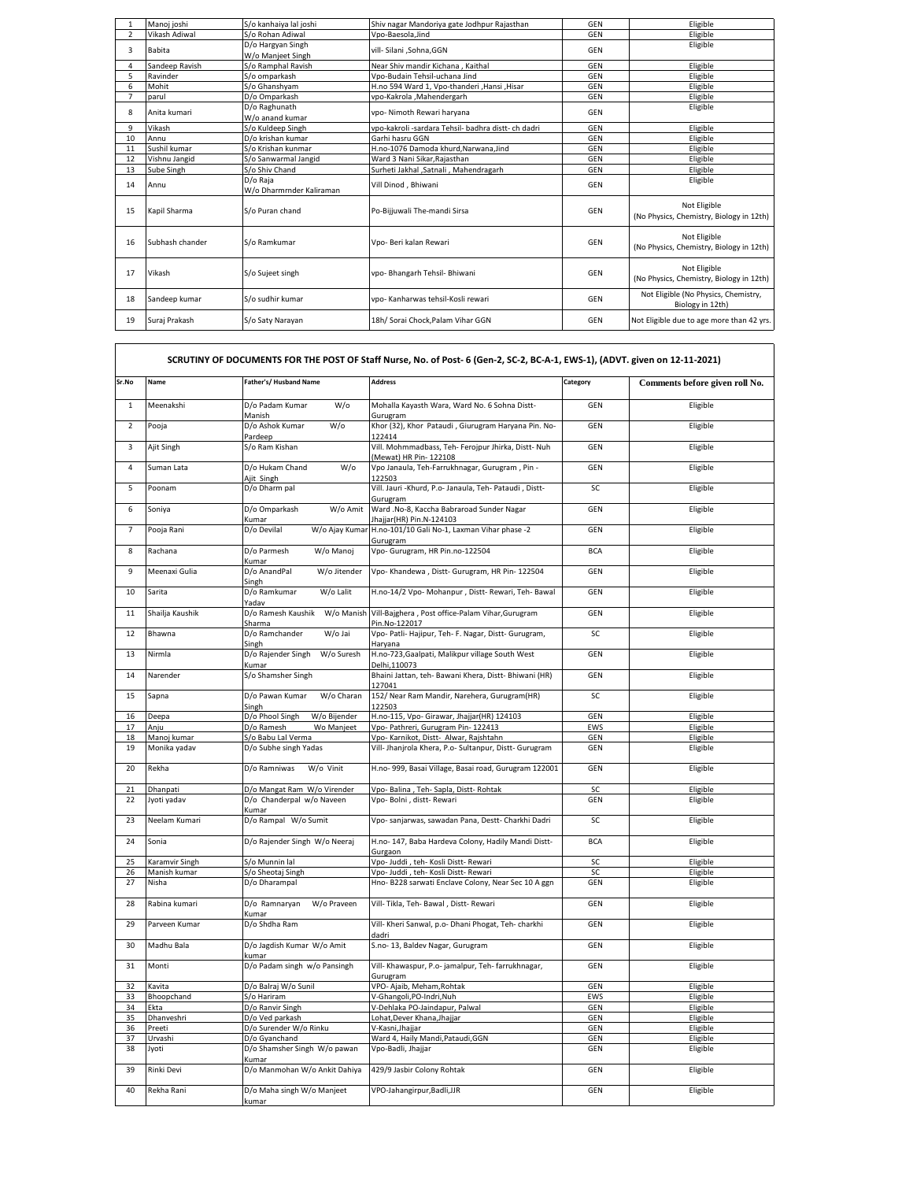|                | Manoj joshi     | S/o kanhaiva lal ioshi                 | Shiv nagar Mandoriya gate Jodhpur Rajasthan         | <b>GEN</b> | Eligible                                                 |
|----------------|-----------------|----------------------------------------|-----------------------------------------------------|------------|----------------------------------------------------------|
| $\overline{2}$ | Vikash Adiwal   | S/o Rohan Adiwal                       | Vpo-Baesola.Jind                                    | GEN        | Eligible                                                 |
| 3              | Babita          | D/o Hargyan Singh<br>W/o Manjeet Singh | vill- Silani ,Sohna,GGN                             | GEN        | Eligible                                                 |
| 4              | Sandeep Ravish  | S/o Ramphal Ravish                     | Near Shiv mandir Kichana, Kaithal                   | GEN        | Eligible                                                 |
| 5              | Ravinder        | S/o omparkash                          | Vno-Budain Tehsil-uchana Jind                       | GEN        | Eligible                                                 |
| 6              | Mohit           | S/o Ghanshvam                          | H.no 594 Ward 1. Vpo-thanderi .Hansi .Hisar         | GEN        | Eligible                                                 |
| 7              | parul           | D/o Omparkash                          | vpo-Kakrola ,Mahendergarh                           | GEN        | Eligible                                                 |
| 8              | Anita kumari    | D/o Raghunath<br>W/o anand kumar       | vpo- Nimoth Rewari haryana                          | GFN        | Eligible                                                 |
| 9              | Vikash          | S/o Kuldeep Singh                      | vpo-kakroli -sardara Tehsil- badhra distt- ch dadri | GEN        | Eligible                                                 |
| 10             | Annu            | D/o krishan kumar                      | Garhi hasru GGN                                     | GEN        | Eligible                                                 |
| 11             | Sushil kumar    | S/o Krishan kunmar                     | H.no-1076 Damoda khurd, Narwana, Jind               | GEN        | Eligible                                                 |
| 12             | Vishnu Jangid   | S/o Sanwarmal Jangid                   | Ward 3 Nani Sikar, Rajasthan                        | GEN        | Eligible                                                 |
| 13             | Sube Singh      | S/o Shiv Chand                         | Surheti Jakhal , Satnali , Mahendragarh             | GEN        | Eligible                                                 |
| 14             | Annu            | D/o Raia<br>W/o Dharmrnder Kaliraman   | Vill Dinod, Bhiwani                                 | GEN        | Eligible                                                 |
| 15             | Kapil Sharma    | S/o Puran chand                        | Po-Bijjuwali The-mandi Sirsa                        | GEN        | Not Eligible<br>(No Physics, Chemistry, Biology in 12th) |
| 16             | Subhash chander | S/o Ramkumar                           | Vpo- Beri kalan Rewari                              | <b>GEN</b> | Not Eligible<br>(No Physics, Chemistry, Biology in 12th) |
| 17             | Vikash          | S/o Suieet singh                       | vpo- Bhangarh Tehsil- Bhiwani                       | GEN        | Not Eligible<br>(No Physics, Chemistry, Biology in 12th) |
| 18             | Sandeep kumar   | S/o sudhir kumar                       | vpo- Kanharwas tehsil-Kosli rewari                  | GEN        | Not Eligible (No Physics, Chemistry,<br>Biology in 12th) |
| 19             | Suraj Prakash   | S/o Saty Narayan                       | 18h/ Sorai Chock.Palam Vihar GGN                    | GFN        | Not Eligible due to age more than 42 yrs.                |

| Sr.No          | Name            | Father's/ Husband Name                    | <b>Address</b>                                                                | Category   | Comments before given roll No. |
|----------------|-----------------|-------------------------------------------|-------------------------------------------------------------------------------|------------|--------------------------------|
| $\mathbf 1$    | Meenakshi       | D/o Padam Kumar<br>$W$ /o<br>Manish       | Mohalla Kayasth Wara, Ward No. 6 Sohna Distt-<br>Gurugram                     | GEN        | Eligible                       |
| $\overline{2}$ | Pooja           | D/o Ashok Kumar<br>$W$ /o<br>Pardeep      | Khor (32), Khor Pataudi, Giurugram Haryana Pin. No-<br>122414                 | GEN        | Eligible                       |
| 3              | Ajit Singh      | S/o Ram Kishan                            | Vill. Mohmmadbass, Teh- Ferojpur Jhirka, Distt- Nuh<br>(Mewat) HR Pin- 122108 | GEN        | Eligible                       |
| $\overline{4}$ | Suman Lata      | D/o Hukam Chand<br>$W$ /o<br>Ajit Singh   | Vpo Janaula, Teh-Farrukhnagar, Gurugram, Pin -<br>122503                      | GEN        | Eligible                       |
| 5              | Poonam          | D/o Dharm pal                             | Vill. Jauri -Khurd, P.o- Janaula, Teh- Pataudi, Distt-<br>Gurugram            | SC         | Eligible                       |
| 6              | Soniya          | D/o Omparkash<br>W/o Amit<br>Kumar        | Ward .No-8, Kaccha Babraroad Sunder Nagar<br>Jhajjar(HR) Pin.N-124103         | GEN        | Eligible                       |
| $\overline{7}$ | Pooja Rani      | D/o Devilal                               | W/o Ajay Kumar H.no-101/10 Gali No-1, Laxman Vihar phase -2<br>Gurugram       | <b>GEN</b> | Eligible                       |
| 8              | Rachana         | W/o Manoj<br>D/o Parmesh<br>Kumar         | Vpo- Gurugram, HR Pin.no-122504                                               | <b>BCA</b> | Eligible                       |
| 9              | Meenaxi Gulia   | D/o AnandPal<br>W/o Jitender<br>Singh     | Vpo- Khandewa, Distt- Gurugram, HR Pin- 122504                                | GEN        | Eligible                       |
| 10             | Sarita          | W/o Lalit<br>D/o Ramkumar<br>Yadav        | H.no-14/2 Vpo- Mohanpur, Distt- Rewari, Teh- Bawal                            | GEN        | Eligible                       |
| 11             | Shailja Kaushik | D/o Ramesh Kaushik<br>Sharma              | W/o Manish Vill-Bajghera, Post office-Palam Vihar, Gurugram<br>Pin.No-122017  | GEN        | Eligible                       |
| 12             | Bhawna          | D/o Ramchander<br>W/o Jai<br>Singh        | Vpo- Patli- Hajipur, Teh- F. Nagar, Distt- Gurugram,<br>Haryana               | SC         | Eligible                       |
| 13             | Nirmla          | D/o Rajender Singh<br>W/o Suresh<br>Kumar | H.no-723, Gaalpati, Malikpur village South West<br>Delhi.110073               | GEN        | Eligible                       |
| 14             | Narender        | S/o Shamsher Singh                        | Bhaini Jattan, teh- Bawani Khera, Distt- Bhiwani (HR)<br>127041               | GEN        | Eligible                       |
| 15             | Sapna           | D/o Pawan Kumar<br>W/o Charan<br>Singh    | 152/ Near Ram Mandir, Narehera, Gurugram(HR)<br>122503                        | SC         | Eligible                       |
| 16             | Deepa           | D/o Phool Singh<br>W/o Bijender           | H.no-115, Vpo- Girawar, Jhajjar(HR) 124103                                    | GEN        | Eligible                       |
| 17             | Anju            | D/o Ramesh<br>Wo Manjeet                  | Vpo- Pathreri, Gurugram Pin- 122413                                           | EWS        | Eligible                       |
| 18             | Manoj kumar     | S/o Babu Lal Verma                        | Vpo- Karnikot, Distt- Alwar, Rajshtahn                                        | GEN        | Eligible                       |
| 19             | Monika yadav    | D/o Subhe singh Yadas                     | Vill- Jhanjrola Khera, P.o- Sultanpur, Distt- Gurugram                        | GEN        | Eligible                       |
| 20             | Rekha           | D/o Ramniwas<br>W/o Vinit                 | H.no- 999, Basai Village, Basai road, Gurugram 122001                         | <b>GEN</b> | Eligible                       |
| 21             | Dhanpati        | D/o Mangat Ram W/o Virender               | Vpo- Balina, Teh- Sapla, Distt- Rohtak                                        | SC         | Eligible                       |
| 22             | Jyoti yadav     | D/o Chanderpal w/o Naveen<br>Kumar        | Vpo- Bolni, distt- Rewari                                                     | GEN        | Eligible                       |
| 23             | Neelam Kumari   | D/o Rampal W/o Sumit                      | Vpo- sanjarwas, sawadan Pana, Destt- Charkhi Dadri                            | SC         | Eligible                       |
| 24             | Sonia           | D/o Rajender Singh W/o Neeraj             | H.no- 147, Baba Hardeva Colony, Hadily Mandi Distt-<br>Gurgaon                | <b>BCA</b> | Eligible                       |
| 25             | Karamvir Singh  | S/o Munnin lal                            | Vpo- Juddi, teh- Kosli Distt- Rewari                                          | SC         | Eligible                       |
| 26             | Manish kumar    | S/o Sheotaj Singh                         | Vpo- Juddi, teh- Kosli Distt- Rewari                                          | SC         | Eligible                       |
| 27             | Nisha           | D/o Dharampal                             | Hno-B228 sarwati Enclave Colony, Near Sec 10 A ggn                            | GEN        | Eligible                       |
| 28             | Rabina kumari   | D/o Ramnaryan<br>W/o Praveen<br>Kumar     | Vill- Tikla, Teh- Bawal, Distt- Rewari                                        | GEN        | Eligible                       |
| 29             | Parveen Kumar   | D/o Shdha Ram                             | Vill- Kheri Sanwal, p.o- Dhani Phogat, Teh- charkhi<br>dadri                  | GEN        | Eligible                       |
| 30             | Madhu Bala      | D/o Jagdish Kumar W/o Amit<br>kumar       | S.no-13, Baldev Nagar, Gurugram                                               | GEN        | Eligible                       |
| 31             | Monti           | D/o Padam singh w/o Pansingh              | Vill- Khawaspur, P.o- jamalpur, Teh- farrukhnagar,<br>Gurugram                | GEN        | Eligible                       |
| 32             | Kavita          | D/o Balraj W/o Sunil                      | VPO- Ajaib, Meham, Rohtak                                                     | GEN        | Eligible                       |
| 33             | Bhoopchand      | S/o Hariram                               | V-Ghangoli, PO-Indri, Nuh                                                     | EWS        | Eligible                       |
| 34             | Ekta            | D/o Ranvir Singh                          | V-Dehlaka PO-Jaindapur, Palwal                                                | GEN        | Eligible                       |
| 35             | Dhanveshri      | D/o Ved parkash                           | Lohat, Dever Khana, Jhajjar                                                   | GEN        | Eligible                       |
| 36             | Preeti          | D/o Surender W/o Rinku                    | V-Kasni, Jhajjar                                                              | GEN        | Eligible                       |
| 37             | Urvashi         | D/o Gyanchand                             | Ward 4, Haily Mandi, Pataudi, GGN                                             | GEN        | Eligible                       |
| 38             | Jyoti           | D/o Shamsher Singh W/o pawan<br>Kumar     | Vpo-Badli, Jhajjar                                                            | GEN        | Eligible                       |
| 39             | Rinki Devi      | D/o Manmohan W/o Ankit Dahiya             | 429/9 Jasbir Colony Rohtak                                                    | GEN        | Eligible                       |
| 40             | Rekha Rani      | D/o Maha singh W/o Manjeet<br>kumar       | VPO-Jahangirpur, Badli, JJR                                                   | GEN        | Eligible                       |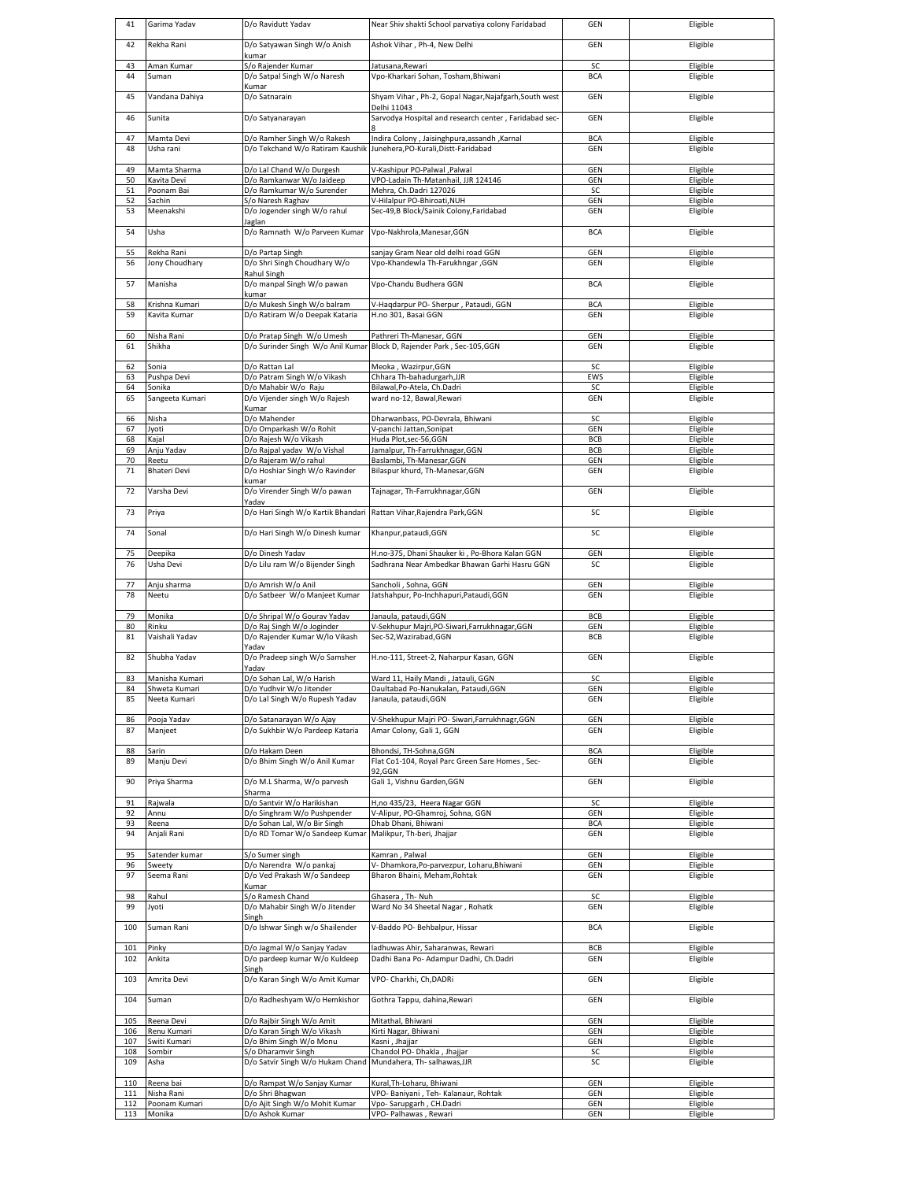| 41         | Garima Yadav                   | D/o Ravidutt Yadav                                                       | Near Shiv shakti School parvatiya colony Faridabad                                              | GEN                      | Eligible             |
|------------|--------------------------------|--------------------------------------------------------------------------|-------------------------------------------------------------------------------------------------|--------------------------|----------------------|
| 42         | Rekha Rani                     | D/o Satyawan Singh W/o Anish<br>kumar                                    | Ashok Vihar, Ph-4, New Delhi                                                                    | <b>GEN</b>               | Eligible             |
| 43<br>44   | Aman Kumar<br>Suman            | S/o Rajender Kumar<br>D/o Satpal Singh W/o Naresh<br>Kumar               | Jatusana, Rewari<br>Vpo-Kharkari Sohan, Tosham, Bhiwani                                         | SC<br><b>BCA</b>         | Eligible<br>Eligible |
| 45         | Vandana Dahiya                 | D/o Satnarain                                                            | Shyam Vihar, Ph-2, Gopal Nagar, Najafgarh, South west                                           | <b>GEN</b>               | Eligible             |
| 46         | Sunita                         | D/o Satyanarayan                                                         | Delhi 11043<br>Sarvodya Hospital and research center, Faridabad sec-                            | <b>GEN</b>               | Eligible             |
| 47         | Mamta Devi                     | D/o Ramher Singh W/o Rakesh                                              | Indira Colony, Jaisinghpura, assandh, Karnal                                                    | <b>BCA</b>               | Eligible             |
| 48         | Usha rani                      | D/o Tekchand W/o Ratiram Kaushik                                         | Junehera, PO-Kurali, Distt-Faridabad                                                            | <b>GEN</b>               | Eligible             |
| 49<br>50   | Mamta Sharma<br>Kavita Devi    | D/o Lal Chand W/o Durgesh<br>D/o Ramkanwar W/o Jaideep                   | V-Kashipur PO-Palwal , Palwal<br>VPO-Ladain Th-Matanhail, JJR 124146                            | GEN<br><b>GEN</b>        | Eligible<br>Eligible |
| 51         | Poonam Bai                     | D/o Ramkumar W/o Surender                                                | Mehra, Ch.Dadri 127026                                                                          | SC                       | Eligible             |
| 52<br>53   | Sachin<br>Meenakshi            | S/o Naresh Raghav<br>D/o Jogender singh W/o rahul                        | V-Hilalpur PO-Bhiroati, NUH<br>Sec-49,B Block/Sainik Colony,Faridabad                           | GEN<br><b>GEN</b>        | Eligible<br>Eligible |
| 54         | Usha                           | Jaglan<br>D/o Ramnath W/o Parveen Kumar                                  | Vpo-Nakhrola, Manesar, GGN                                                                      | <b>BCA</b>               | Eligible             |
| 55<br>56   | Rekha Rani<br>Jony Choudhary   | D/o Partap Singh<br>D/o Shri Singh Choudhary W/o                         | sanjay Gram Near old delhi road GGN<br>Vpo-Khandewla Th-Farukhngar , GGN                        | GEN<br>GEN               | Eligible<br>Eligible |
|            |                                | Rahul Singh                                                              |                                                                                                 |                          |                      |
| 57         | Manisha                        | D/o manpal Singh W/o pawan<br>kumar                                      | Vpo-Chandu Budhera GGN                                                                          | <b>BCA</b>               | Eligible             |
| 58<br>59   | Krishna Kumari<br>Kavita Kumar | D/o Mukesh Singh W/o balram                                              | V-Haqdarpur PO- Sherpur, Pataudi, GGN<br>H.no 301, Basai GGN                                    | <b>BCA</b><br><b>GEN</b> | Eligible<br>Eligible |
|            |                                | D/o Ratiram W/o Deepak Kataria                                           |                                                                                                 |                          |                      |
| 60<br>61   | Nisha Rani<br>Shikha           | D/o Pratap Singh W/o Umesh<br>D/o Surinder Singh W/o Anil Kumar          | Pathreri Th-Manesar, GGN<br>Block D, Rajender Park, Sec-105,GGN                                 | GEN<br>GEN               | Eligible<br>Eligible |
| 62<br>63   | Sonia<br>Pushpa Devi           | D/o Rattan Lal<br>D/o Patram Singh W/o Vikash                            | Meoka, Wazirpur, GGN<br>Chhara Th-bahadurgarh, JJR                                              | SC<br>EWS                | Eligible<br>Eligible |
| 64         | Sonika                         | D/o Mahabir W/o Raju                                                     | Bilawal, Po-Atela, Ch.Dadri                                                                     | SC                       | Eligible             |
| 65         | Sangeeta Kumari                | D/o Vijender singh W/o Rajesh<br>Kumar                                   | ward no-12, Bawal, Rewari                                                                       | GEN                      | Eligible             |
| 66         | Nisha                          | D/o Mahender                                                             | Dharwanbass, PO-Devrala, Bhiwani                                                                | SC                       | Eligible             |
| 67         | Jyoti                          | D/o Omparkash W/o Rohit                                                  | V-panchi Jattan, Sonipat                                                                        | GEN<br>BCB               | Eligible             |
| 68<br>69   | Kajal<br>Anju Yadav            | D/o Rajesh W/o Vikash<br>D/o Rajpal yadav W/o Vishal                     | Huda Plot,sec-56,GGN<br>Jamalpur, Th-Farrukhnagar, GGN                                          | BCB                      | Eligible<br>Eligible |
| 70         | Reetu                          | D/o Rajeram W/o rahul                                                    | Baslambi, Th-Manesar, GGN                                                                       | GEN                      | Eligible             |
| 71         | Bhateri Devi                   | D/o Hoshiar Singh W/o Ravinder<br>kumar                                  | Bilaspur khurd, Th-Manesar, GGN                                                                 | <b>GEN</b>               | Eligible             |
| 72         | Varsha Devi                    | D/o Virender Singh W/o pawan                                             | Tajnagar, Th-Farrukhnagar, GGN                                                                  | GEN                      | Eligible             |
| 73         | Priya                          | Yadav<br>D/o Hari Singh W/o Kartik Bhandari                              | Rattan Vihar, Rajendra Park, GGN                                                                | SC                       | Eligible             |
| 74         | Sonal                          | D/o Hari Singh W/o Dinesh kumar                                          | Khanpur, pataudi, GGN                                                                           | SC                       | Eligible             |
| 75<br>76   | Deepika<br>Usha Devi           | D/o Dinesh Yadav<br>D/o Lilu ram W/o Bijender Singh                      | H.no-375, Dhani Shauker ki, Po-Bhora Kalan GGN<br>Sadhrana Near Ambedkar Bhawan Garhi Hasru GGN | GEN<br>SC                | Eligible<br>Eligible |
|            |                                |                                                                          |                                                                                                 |                          |                      |
|            |                                |                                                                          |                                                                                                 |                          |                      |
| 77<br>78   | Anju sharma<br>Neetu           | D/o Amrish W/o Anil<br>D/o Satbeer W/o Manjeet Kumar                     | Sancholi, Sohna, GGN<br>Jatshahpur, Po-Inchhapuri, Pataudi, GGN                                 | GEN<br><b>GEN</b>        | Eligible<br>Eligible |
| 79         | Monika                         | D/o Shripal W/o Gourav Yadav                                             | Janaula, pataudi, GGN                                                                           | BCB                      | Eligible             |
| 80<br>81   | Rinku<br>Vaishali Yadav        | D/o Raj Singh W/o Joginder<br>D/o Rajender Kumar W/lo Vikash<br>Yadav    | V-Sekhupur Majri, PO-Siwari, Farrukhnagar, GGN<br>Sec-52, Wazirabad, GGN                        | GEN<br>BCB               | Eligible<br>Eligible |
| 82         | Shubha Yadav                   | D/o Pradeep singh W/o Samsher<br>Yadav                                   | H.no-111, Street-2, Naharpur Kasan, GGN                                                         | <b>GEN</b>               | Eligible             |
| 83         | Manisha Kumari                 | D/o Sohan Lal, W/o Harish                                                | Ward 11, Haily Mandi, Jatauli, GGN                                                              | SC                       | Eligible             |
| 84         | Shweta Kumari                  | D/o Yudhvir W/o Jitender                                                 | Daultabad Po-Nanukalan, Pataudi, GGN                                                            | GEN                      | Eligible             |
| 85         | Neeta Kumari                   | D/o Lal Singh W/o Rupesh Yadav                                           | Janaula, pataudi, GGN                                                                           | GEN                      | Eligible             |
| 86<br>87   | Pooja Yadav<br>Manjeet         | D/o Satanarayan W/o Ajay<br>D/o Sukhbir W/o Pardeep Kataria              | V-Shekhupur Majri PO- Siwari, Farrukhnagr, GGN<br>Amar Colony, Gali 1, GGN                      | GEN<br>GEN               | Eligible<br>Eligible |
| 88<br>89   | Sarin<br>Manju Devi            | D/o Hakam Deen<br>D/o Bhim Singh W/o Anil Kumar                          | Bhondsi, TH-Sohna, GGN<br>Flat Co1-104, Royal Parc Green Sare Homes, Sec-                       | <b>BCA</b><br>GEN        | Eligible<br>Eligible |
| 90         | Priya Sharma                   | D/o M.L Sharma, W/o parvesh                                              | 92.GGN<br>Gali 1, Vishnu Garden, GGN                                                            | GEN                      | Eligible             |
|            |                                | Sharma                                                                   |                                                                                                 |                          |                      |
| 91<br>92   | Rajwala<br>Annu                | D/o Santvir W/o Harikishan<br>D/o Singhram W/o Pushpender                | H,no 435/23, Heera Nagar GGN<br>V-Alipur, PO-Ghamroj, Sohna, GGN                                | SC<br>GEN                | Eligible<br>Eligible |
| 93         | Reena                          | D/o Sohan Lal, W/o Bir Singh                                             | Dhab Dhani, Bhiwani                                                                             | <b>BCA</b>               | Eligible             |
| 94         | Anjali Rani                    | D/o RD Tomar W/o Sandeep Kumar                                           | Malikpur, Th-beri, Jhajjar                                                                      | GEN                      | Eligible             |
| 95         | Satender kumar                 | S/o Sumer singh                                                          | Kamran, Palwal                                                                                  | GEN                      | Eligible             |
| 96         | Sweety                         | D/o Narendra W/o pankaj                                                  | V- Dhamkora, Po-parvezpur, Loharu, Bhiwani                                                      | GEN                      | Eligible             |
| 97         | Seema Rani                     | D/o Ved Prakash W/o Sandeep<br>Kumar                                     | Bharon Bhaini, Meham, Rohtak                                                                    | GEN                      | Eligible             |
| 98         | Rahul                          | S/o Ramesh Chand                                                         | Ghasera, Th-Nuh                                                                                 | SC                       | Eligible             |
| 99         | Jyoti                          | D/o Mahabir Singh W/o Jitender<br>Singh                                  | Ward No 34 Sheetal Nagar, Rohatk                                                                | GEN                      | Eligible             |
| 100        | Suman Rani                     | D/o Ishwar Singh w/o Shailender                                          | V-Baddo PO- Behbalpur, Hissar                                                                   | <b>BCA</b>               | Eligible             |
| 101        | Pinky                          | D/o Jagmal W/o Sanjay Yadav                                              | ladhuwas Ahir, Saharanwas, Rewari                                                               | BCB                      | Eligible             |
| 102<br>103 | Ankita<br>Amrita Devi          | D/o pardeep kumar W/o Kuldeep<br>Singh<br>D/o Karan Singh W/o Amit Kumar | Dadhi Bana Po- Adampur Dadhi, Ch.Dadri<br>VPO- Charkhi, Ch, DADRi                               | GEN<br>GEN               | Eligible<br>Eligible |
| 104        | Suman                          | D/o Radheshyam W/o Hemkishor                                             | Gothra Tappu, dahina, Rewari                                                                    | GEN                      | Eligible             |
| 105        | Reena Devi                     | D/o Rajbir Singh W/o Amit                                                | Mitathal, Bhiwani                                                                               | GEN                      | Eligible             |
| 106<br>107 | Renu Kumari<br>Switi Kumari    | D/o Karan Singh W/o Vikash<br>D/o Bhim Singh W/o Monu                    | Kirti Nagar, Bhiwani<br>Kasni, Jhajjar                                                          | GEN<br>GEN               | Eligible<br>Eligible |
| 108<br>109 | Sombir<br>Asha                 | S/o Dharamvir Singh<br>D/o Satvir Singh W/o Hukam Chand                  | Chandol PO- Dhakla, Jhajjar<br>Mundahera, Th-salhawas, JJR                                      | SC<br>SC                 | Eligible<br>Eligible |
| 110        | Reena bai                      | D/o Rampat W/o Sanjay Kumar                                              | Kural, Th-Loharu, Bhiwani                                                                       | GEN                      | Eligible             |
| 111<br>112 | Nisha Rani<br>Poonam Kumari    | D/o Shri Bhagwan<br>D/o Ajit Singh W/o Mohit Kumar                       | VPO-Baniyani, Teh-Kalanaur, Rohtak<br>Vpo-Sarupgarh, CH.Dadri                                   | GEN<br>GEN               | Eligible<br>Eligible |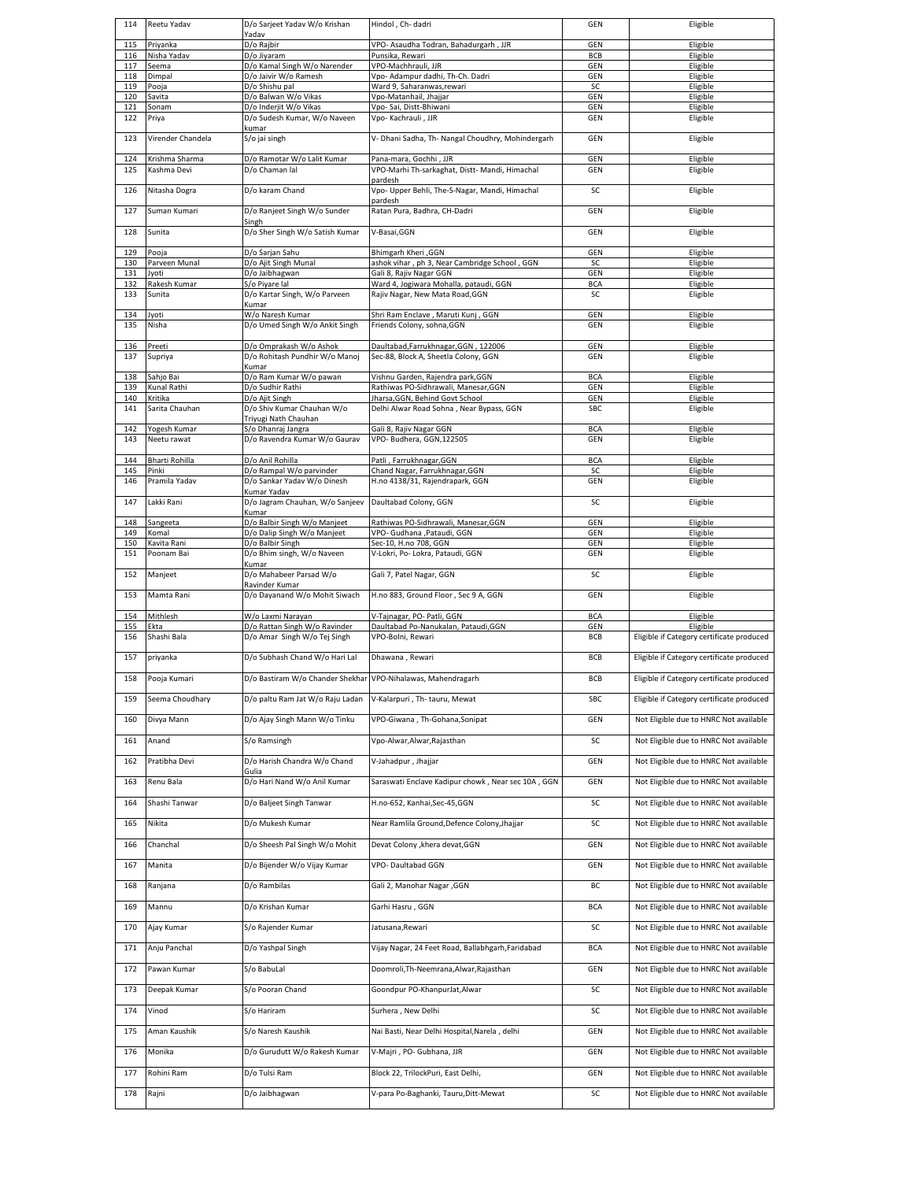| 114        | Reetu Yadav                   | D/o Sarjeet Yadav W/o Krishan                                 | Hindol, Ch-dadri                                                             | GEN                      | Eligible                                              |
|------------|-------------------------------|---------------------------------------------------------------|------------------------------------------------------------------------------|--------------------------|-------------------------------------------------------|
| 115        | Privanka                      | Yadav<br>D/o Rajbir                                           | VPO- Asaudha Todran, Bahadurgarh, JJR                                        | GEN                      | Eligible                                              |
| 116        | Nisha Yadav                   | D/o Jiyaram                                                   | Punsika, Rewari                                                              | <b>BCB</b>               | Eligible                                              |
| 117        | Seema                         | D/o Kamal Singh W/o Narender                                  | VPO-Machhrauli, JJR                                                          | GEN                      | Eligible                                              |
| 118        | Dimpal                        | D/o Jaivir W/o Ramesh                                         | Vpo- Adampur dadhi, Th-Ch. Dadri                                             | GEN                      | Eligible                                              |
| 119<br>120 | Pooja<br>Savita               | D/o Shishu pal<br>D/o Balwan W/o Vikas                        | Ward 9, Saharanwas, rewari<br>Vpo-Matanhail, Jhajjar                         | SC<br>GEN                | Eligible<br>Eligible                                  |
| 121        | Sonam                         | D/o Inderjit W/o Vikas                                        | Vpo-Sai, Distt-Bhiwani                                                       | GEN                      | Eligible                                              |
| 122        | Priya                         | D/o Sudesh Kumar, W/o Naveen                                  | Vpo- Kachrauli, JJR                                                          | GEN                      | Eligible                                              |
| 123        | Virender Chandela             | kumar<br>S/o jai singh                                        | V- Dhani Sadha, Th- Nangal Choudhry, Mohindergarh                            | <b>GEN</b>               | Eligible                                              |
| 124<br>125 | Krishma Sharma<br>Kashma Devi | D/o Ramotar W/o Lalit Kumar<br>D/o Chaman lal                 | Pana-mara, Gochhi, JJR<br>VPO-Marhi Th-sarkaghat, Distt- Mandi, Himachal     | <b>GEN</b><br>GEN        | Eligible<br>Eligible                                  |
| 126        | Nitasha Dogra                 | D/o karam Chand                                               | pardesh<br>Vpo- Upper Behli, The-S-Nagar, Mandi, Himachal                    | SC                       | Eligible                                              |
| 127        | Suman Kumari                  | D/o Ranjeet Singh W/o Sunder                                  | pardesh<br>Ratan Pura, Badhra, CH-Dadri                                      | <b>GEN</b>               | Eligible                                              |
| 128        | Sunita                        | Singh<br>D/o Sher Singh W/o Satish Kumar                      | V-Basai, GGN                                                                 | GEN                      | Eligible                                              |
| 129        | Pooja                         | D/o Sarjan Sahu                                               | <b>Bhimgarh Kheri</b> , GGN                                                  | GEN                      | Eligible                                              |
| 130        | Parveen Munal                 | D/o Ajit Singh Munal                                          | ashok vihar, ph 3, Near Cambridge School, GGN                                | SC                       | Eligible                                              |
| 131<br>132 | Jyoti<br>Rakesh Kumar         | D/o Jaibhagwan<br>S/o Piyare lal                              | Gali 8, Rajiv Nagar GGN<br>Ward 4, Jogiwara Mohalla, pataudi, GGN            | GEN<br><b>BCA</b>        | Eligible<br>Eligible                                  |
| 133        | Sunita                        | D/o Kartar Singh, W/o Parveen<br>Kumar                        | Rajiv Nagar, New Mata Road, GGN                                              | SC                       | Eligible                                              |
| 134        | Jyoti                         | W/o Naresh Kumar                                              | Shri Ram Enclave, Maruti Kunj, GGN                                           | GEN                      | Eligible                                              |
| 135        | Nisha                         | D/o Umed Singh W/o Ankit Singh                                | Friends Colony, sohna, GGN                                                   | <b>GEN</b>               | Eligible                                              |
| 136<br>137 | Preeti<br>Supriya             | D/o Omprakash W/o Ashok<br>D/o Rohitash Pundhir W/o Manoj     | Daultabad, Farrukhnagar, GGN, 122006<br>Sec-88, Block A, Sheetla Colony, GGN | <b>GEN</b><br><b>GEN</b> | Eligible<br>Eligible                                  |
|            |                               | Kumar                                                         |                                                                              |                          |                                                       |
| 138        | Sahjo Bai                     | D/o Ram Kumar W/o pawan                                       | Vishnu Garden, Rajendra park, GGN                                            | <b>BCA</b>               | Eligible                                              |
| 139<br>140 | Kunal Rathi<br>Kritika        | D/o Sudhir Rathi<br>D/o Ajit Singh                            | Rathiwas PO-Sidhrawali, Manesar, GGN<br>Jharsa, GGN, Behind Govt School      | <b>GEN</b><br>GEN        | Eligible<br>Eligible                                  |
| 141        | Sarita Chauhan                | D/o Shiv Kumar Chauhan W/o                                    | Delhi Alwar Road Sohna, Near Bypass, GGN                                     | SBC                      | Eligible                                              |
|            |                               | Triyugi Nath Chauhan                                          |                                                                              |                          |                                                       |
| 142<br>143 | Yogesh Kumar<br>Neetu rawat   | S/o Dhanraj Jangra<br>D/o Ravendra Kumar W/o Gaurav           | Gali 8, Rajiv Nagar GGN<br>VPO- Budhera, GGN, 122505                         | <b>BCA</b><br><b>GEN</b> | Eligible<br>Eligible                                  |
| 144        | Bharti Rohilla                | D/o Anil Rohilla                                              | Patli, Farrukhnagar, GGN                                                     | <b>BCA</b>               | Eligible                                              |
| 145<br>146 | Pinki<br>Pramila Yadav        | D/o Rampal W/o parvinder<br>D/o Sankar Yadav W/o Dinesh       | Chand Nagar, Farrukhnagar, GGN<br>H.no 4138/31, Rajendrapark, GGN            | SC<br><b>GEN</b>         | Eligible<br>Eligible                                  |
| 147        | Lakki Rani                    | Kumar Yadav<br>D/o Jagram Chauhan, W/o Sanjeev                | Daultabad Colony, GGN                                                        | SC                       | Eligible                                              |
|            |                               | Kumar                                                         |                                                                              |                          |                                                       |
| 148<br>149 | Sangeeta<br>Komal             | D/o Balbir Singh W/o Manjeet<br>D/o Dalip Singh W/o Manjeet   | Rathiwas PO-Sidhrawali, Manesar, GGN<br>VPO- Gudhana ,Pataudi, GGN           | <b>GEN</b><br><b>GEN</b> | Eligible<br>Eligible                                  |
| 150        | Kavita Rani                   | D/o Balbir Singh                                              | Sec-10, H.no 708, GGN                                                        | GEN                      | Eligible                                              |
| 151        | Poonam Bai                    | D/o Bhim singh, W/o Naveen                                    | V-Lokri, Po- Lokra, Pataudi, GGN                                             | <b>GEN</b>               | Eligible                                              |
| 152        | Manjeet                       | Kumar<br>D/o Mahabeer Parsad W/o                              | Gali 7, Patel Nagar, GGN                                                     | SC                       | Eligible                                              |
| 153        | Mamta Rani                    | Ravinder Kumar<br>D/o Dayanand W/o Mohit Siwach               | H.no 883, Ground Floor, Sec 9 A, GGN                                         | <b>GEN</b>               | Eligible                                              |
| 154        | Mithlesh                      | W/o Laxmi Narayan                                             | V-Tajnagar, PO- Patli, GGN                                                   | <b>BCA</b>               | Eligible                                              |
| 155<br>156 | Ekta<br>Shashi Bala           | D/o Rattan Singh W/o Ravinder<br>D/o Amar Singh W/o Tej Singh | Daultabad Po-Nanukalan, Pataudi, GGN<br>VPO-Bolni, Rewari                    | GEN<br>BCB               | Eligible<br>Eligible if Category certificate produced |
| 157        | priyanka                      | D/o Subhash Chand W/o Hari Lal                                | Dhawana, Rewari                                                              | BCB                      | Eligible if Category certificate produced             |
| 158        | Pooja Kumari                  | D/o Bastiram W/o Chander Shekhar                              | VPO-Nihalawas, Mahendragarh                                                  | BCB                      | Eligible if Category certificate produced             |
| 159        | Seema Choudhary               | D/o paltu Ram Jat W/o Raju Ladan                              | V-Kalarpuri, Th-tauru, Mewat                                                 | SBC                      | Eligible if Category certificate produced             |
| 160        | Divya Mann                    | D/o Ajay Singh Mann W/o Tinku                                 | VPO-Giwana, Th-Gohana, Sonipat                                               | GEN                      | Not Eligible due to HNRC Not available                |
| 161        | Anand                         | S/o Ramsingh                                                  | Vpo-Alwar, Alwar, Rajasthan                                                  | SC                       | Not Eligible due to HNRC Not available                |
| 162        | Pratibha Devi                 | D/o Harish Chandra W/o Chand                                  | V-Jahadpur, Jhajjar                                                          | GEN                      | Not Eligible due to HNRC Not available                |
| 163        | Renu Bala                     | D/o Hari Nand W/o Anil Kumar                                  | Saraswati Enclave Kadipur chowk, Near sec 10A, GGN                           | GEN                      | Not Eligible due to HNRC Not available                |
| 164        | Shashi Tanwar                 | D/o Baljeet Singh Tanwar                                      | H.no-652, Kanhai, Sec-45, GGN                                                | SC                       | Not Eligible due to HNRC Not available                |
| 165        | Nikita                        | D/o Mukesh Kumar                                              | Near Ramlila Ground, Defence Colony, Jhajjar                                 | SC                       | Not Eligible due to HNRC Not available                |
| 166        | Chanchal                      | D/o Sheesh Pal Singh W/o Mohit                                | Devat Colony , khera devat, GGN                                              | GEN                      | Not Eligible due to HNRC Not available                |
| 167        |                               |                                                               |                                                                              |                          |                                                       |
|            | Manita                        | D/o Bijender W/o Vijay Kumar                                  | VPO-Daultabad GGN                                                            | GEN                      | Not Eligible due to HNRC Not available                |
| 168        | Ranjana                       | D/o Rambilas                                                  | Gali 2, Manohar Nagar , GGN                                                  | BC                       | Not Eligible due to HNRC Not available                |
| 169        | Mannu                         | D/o Krishan Kumar                                             | Garhi Hasru, GGN                                                             | <b>BCA</b>               | Not Eligible due to HNRC Not available                |
| 170        | Ajay Kumar                    | S/o Rajender Kumar                                            | Jatusana, Rewari                                                             | SC                       | Not Eligible due to HNRC Not available                |
| 171        | Anju Panchal                  | D/o Yashpal Singh                                             | Vijay Nagar, 24 Feet Road, Ballabhgarh, Faridabad                            | <b>BCA</b>               | Not Eligible due to HNRC Not available                |
| 172        | Pawan Kumar                   | S/o BabuLal                                                   | Doomroli, Th-Neemrana, Alwar, Rajasthan                                      | GEN                      | Not Eligible due to HNRC Not available                |
| 173        | Deepak Kumar                  | S/o Pooran Chand                                              | Goondpur PO-KhanpurJat, Alwar                                                | SC                       | Not Eligible due to HNRC Not available                |
| 174        | Vinod                         | S/o Hariram                                                   | Surhera, New Delhi                                                           | SC                       | Not Eligible due to HNRC Not available                |
| 175        | Aman Kaushik                  | S/o Naresh Kaushik                                            | Nai Basti, Near Delhi Hospital, Narela, delhi                                | GEN                      | Not Eligible due to HNRC Not available                |
| 176        | Monika                        | D/o Gurudutt W/o Rakesh Kumar                                 | V-Majri, PO- Gubhana, JJR                                                    | GEN                      | Not Eligible due to HNRC Not available                |
| 177        | Rohini Ram                    | D/o Tulsi Ram                                                 | Block 22, TrilockPuri, East Delhi,                                           | GEN                      | Not Eligible due to HNRC Not available                |
| 178        | Rajni                         | D/o Jaibhagwan                                                | V-para Po-Baghanki, Tauru, Ditt-Mewat                                        | SC                       | Not Eligible due to HNRC Not available                |